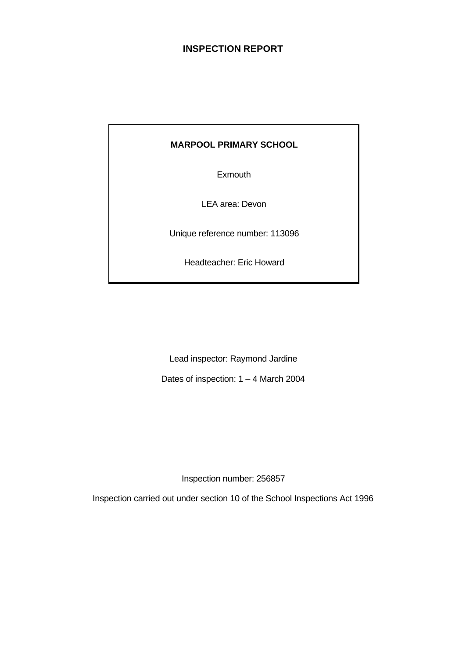# **INSPECTION REPORT**

# **MARPOOL PRIMARY SCHOOL**

Exmouth

LEA area: Devon

Unique reference number: 113096

Headteacher: Eric Howard

Lead inspector: Raymond Jardine

Dates of inspection: 1 – 4 March 2004

Inspection number: 256857

Inspection carried out under section 10 of the School Inspections Act 1996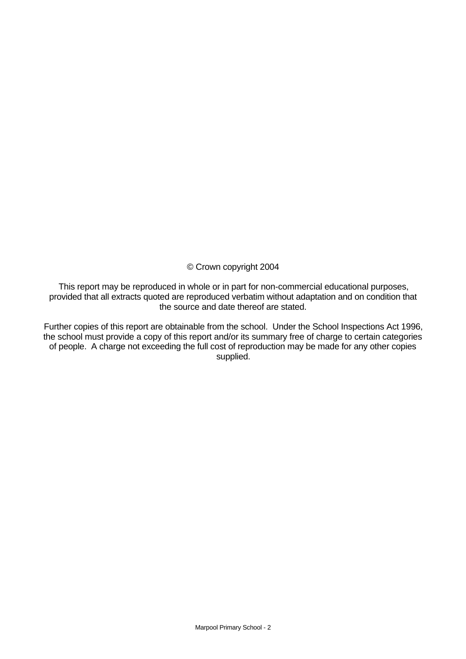© Crown copyright 2004

This report may be reproduced in whole or in part for non-commercial educational purposes, provided that all extracts quoted are reproduced verbatim without adaptation and on condition that the source and date thereof are stated.

Further copies of this report are obtainable from the school. Under the School Inspections Act 1996, the school must provide a copy of this report and/or its summary free of charge to certain categories of people. A charge not exceeding the full cost of reproduction may be made for any other copies supplied.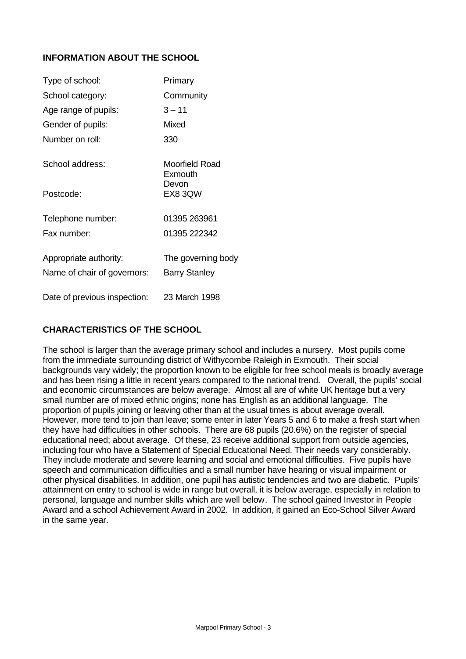# **INFORMATION ABOUT THE SCHOOL**

| Type of school:              | Primary                   |
|------------------------------|---------------------------|
| School category:             | Community                 |
| Age range of pupils:         | $3 - 11$                  |
| Gender of pupils:            | Mixed                     |
| Number on roll:              | 330                       |
| School address:              | Moorfield Road<br>Exmouth |
| Postcode:                    | Devon<br>EX8 3QW          |
| Telephone number:            | 01395 263961              |
| Fax number:                  | 01395 222342              |
| Appropriate authority:       | The governing body        |
| Name of chair of governors:  | <b>Barry Stanley</b>      |
| Date of previous inspection: | 23 March 1998             |

# **CHARACTERISTICS OF THE SCHOOL**

The school is larger than the average primary school and includes a nursery. Most pupils come from the immediate surrounding district of Withycombe Raleigh in Exmouth. Their social backgrounds vary widely; the proportion known to be eligible for free school meals is broadly average and has been rising a little in recent years compared to the national trend. Overall, the pupils' social and economic circumstances are below average.Almost all are of white UK heritage but a very small number are of mixed ethnic origins; none has English as an additional language.The proportion of pupils joining or leaving other than at the usual times is about average overall. However, more tend to join than leave; some enter in later Years 5 and 6 to make a fresh start when they have had difficulties in other schools. There are 68 pupils (20.6%) on the register of special educational need; about average. Of these, 23 receive additional support from outside agencies, including four who have a Statement of Special Educational Need. Their needs vary considerably. They include moderate and severe learning and social and emotional difficulties. Five pupils have speech and communication difficulties and a small number have hearing or visual impairment or other physical disabilities. In addition, one pupil has autistic tendencies and two are diabetic. Pupils' attainment on entry to school is wide in range but overall, it is below average, especially in relation to personal, language and number skills which are well below. The school gained Investor in People Award and a school Achievement Award in 2002. In addition, it gained an Eco-School Silver Award in the same year.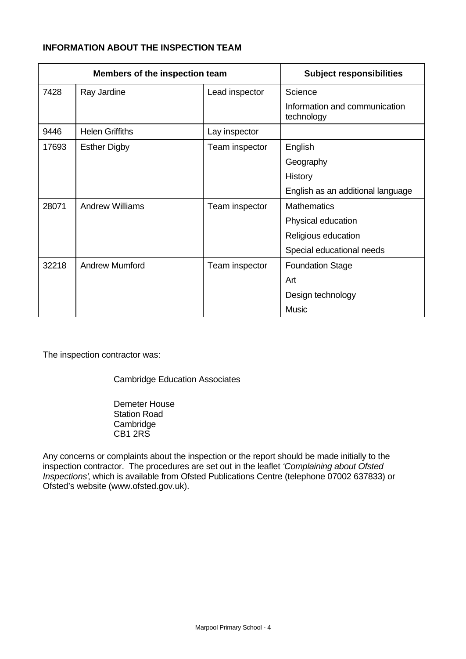# **INFORMATION ABOUT THE INSPECTION TEAM**

| Members of the inspection team |                        |                | <b>Subject responsibilities</b>             |
|--------------------------------|------------------------|----------------|---------------------------------------------|
| 7428                           | Ray Jardine            | Lead inspector | Science                                     |
|                                |                        |                | Information and communication<br>technology |
| 9446                           | <b>Helen Griffiths</b> | Lay inspector  |                                             |
| 17693                          | <b>Esther Digby</b>    | Team inspector | English                                     |
|                                |                        |                | Geography                                   |
|                                |                        |                | History                                     |
|                                |                        |                | English as an additional language           |
| 28071                          | <b>Andrew Williams</b> | Team inspector | <b>Mathematics</b>                          |
|                                |                        |                | Physical education                          |
|                                |                        |                | Religious education                         |
|                                |                        |                | Special educational needs                   |
| 32218                          | <b>Andrew Mumford</b>  | Team inspector | <b>Foundation Stage</b>                     |
|                                |                        |                | Art                                         |
|                                |                        |                | Design technology                           |
|                                |                        |                | <b>Music</b>                                |

The inspection contractor was:

Cambridge Education Associates

Demeter House Station Road **Cambridge** CB1 2RS

Any concerns or complaints about the inspection or the report should be made initially to the inspection contractor. The procedures are set out in the leaflet *'Complaining about Ofsted Inspections'*, which is available from Ofsted Publications Centre (telephone 07002 637833) or Ofsted's website (www.ofsted.gov.uk).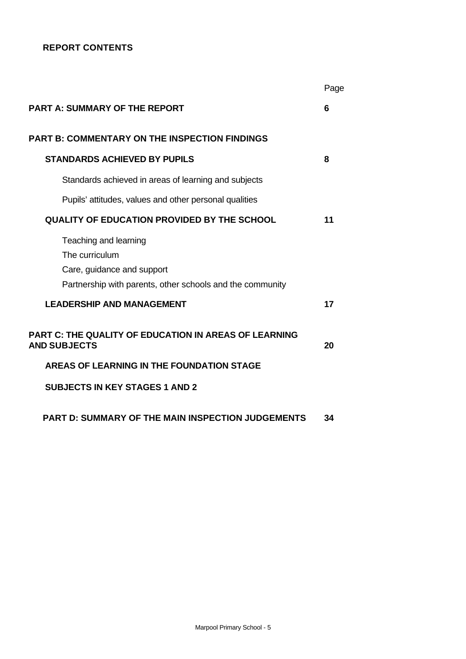# **REPORT CONTENTS**

|                                                                                                                                    | Page |
|------------------------------------------------------------------------------------------------------------------------------------|------|
| <b>PART A: SUMMARY OF THE REPORT</b>                                                                                               | 6    |
| <b>PART B: COMMENTARY ON THE INSPECTION FINDINGS</b>                                                                               |      |
| <b>STANDARDS ACHIEVED BY PUPILS</b>                                                                                                | 8    |
| Standards achieved in areas of learning and subjects                                                                               |      |
| Pupils' attitudes, values and other personal qualities                                                                             |      |
| <b>QUALITY OF EDUCATION PROVIDED BY THE SCHOOL</b>                                                                                 | 11   |
| Teaching and learning<br>The curriculum<br>Care, guidance and support<br>Partnership with parents, other schools and the community |      |
| <b>LEADERSHIP AND MANAGEMENT</b>                                                                                                   | 17   |
| <b>PART C: THE QUALITY OF EDUCATION IN AREAS OF LEARNING</b><br><b>AND SUBJECTS</b>                                                | 20   |
| AREAS OF LEARNING IN THE FOUNDATION STAGE                                                                                          |      |
| <b>SUBJECTS IN KEY STAGES 1 AND 2</b>                                                                                              |      |
| <b>PART D: SUMMARY OF THE MAIN INSPECTION JUDGEMENTS</b>                                                                           | 34   |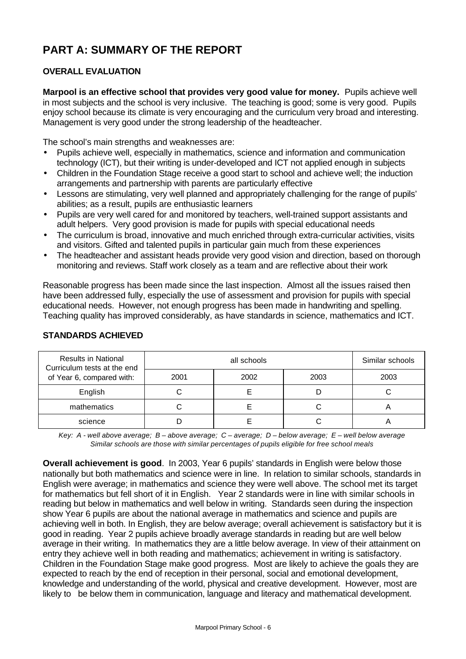# **PART A: SUMMARY OF THE REPORT**

# **OVERALL EVALUATION**

**Marpool is an effective school that provides very good value for money.** Pupils achieve well in most subjects and the school is very inclusive. The teaching is good; some is very good. Pupils enjoy school because its climate is very encouraging and the curriculum very broad and interesting. Management is very good under the strong leadership of the headteacher.

The school's main strengths and weaknesses are:

- Pupils achieve well, especially in mathematics, science and information and communication technology (ICT), but their writing is under-developed and ICT not applied enough in subjects
- Children in the Foundation Stage receive a good start to school and achieve well; the induction arrangements and partnership with parents are particularly effective
- Lessons are stimulating, very well planned and appropriately challenging for the range of pupils' abilities; as a result, pupils are enthusiastic learners
- Pupils are very well cared for and monitored by teachers, well-trained support assistants and adult helpers. Very good provision is made for pupils with special educational needs
- The curriculum is broad, innovative and much enriched through extra-curricular activities, visits and visitors. Gifted and talented pupils in particular gain much from these experiences
- The headteacher and assistant heads provide very good vision and direction, based on thorough monitoring and reviews. Staff work closely as a team and are reflective about their work

Reasonable progress has been made since the last inspection. Almost all the issues raised then have been addressed fully, especially the use of assessment and provision for pupils with special educational needs. However, not enough progress has been made in handwriting and spelling. Teaching quality has improved considerably, as have standards in science, mathematics and ICT.

| <b>Results in National</b><br>Curriculum tests at the end<br>of Year 6, compared with: |      | Similar schools |      |      |
|----------------------------------------------------------------------------------------|------|-----------------|------|------|
|                                                                                        | 2001 | 2002            | 2003 | 2003 |
| English                                                                                |      |                 |      |      |
| mathematics                                                                            |      |                 |      |      |
| science                                                                                |      |                 |      |      |

# **STANDARDS ACHIEVED**

*Key: A - well above average; B – above average; C – average; D – below average; E – well below average Similar schools are those with similar percentages of pupils eligible for free school meals*

**Overall achievement is good**. In 2003, Year 6 pupils' standards in English were below those nationally but both mathematics and science were in line. In relation to similar schools, standards in English were average; in mathematics and science they were well above. The school met its target for mathematics but fell short of it in English. Year 2 standards were in line with similar schools in reading but below in mathematics and well below in writing. Standards seen during the inspection show Year 6 pupils are about the national average in mathematics and science and pupils are achieving well in both. In English, they are below average; overall achievement is satisfactory but it is good in reading. Year 2 pupils achieve broadly average standards in reading but are well below average in their writing. In mathematics they are a little below average. In view of their attainment on entry they achieve well in both reading and mathematics; achievement in writing is satisfactory. Children in the Foundation Stage make good progress. Most are likely to achieve the goals they are expected to reach by the end of reception in their personal, social and emotional development, knowledge and understanding of the world, physical and creative development. However, most are likely to be below them in communication, language and literacy and mathematical development.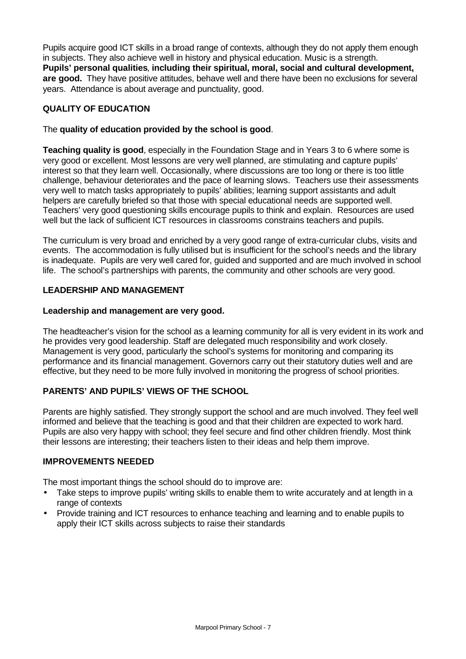Pupils acquire good ICT skills in a broad range of contexts, although they do not apply them enough in subjects. They also achieve well in history and physical education. Music is a strength. **Pupils' personal qualities**, **including their spiritual, moral, social and cultural development, are good.** They have positive attitudes, behave well and there have been no exclusions for several years. Attendance is about average and punctuality, good.

# **QUALITY OF EDUCATION**

# The **quality of education provided by the school is good**.

**Teaching quality is good**, especially in the Foundation Stage and in Years 3 to 6 where some is very good or excellent. Most lessons are very well planned, are stimulating and capture pupils' interest so that they learn well. Occasionally, where discussions are too long or there is too little challenge, behaviour deteriorates and the pace of learning slows. Teachers use their assessments very well to match tasks appropriately to pupils' abilities; learning support assistants and adult helpers are carefully briefed so that those with special educational needs are supported well. Teachers' very good questioning skills encourage pupils to think and explain. Resources are used well but the lack of sufficient ICT resources in classrooms constrains teachers and pupils.

The curriculum is very broad and enriched by a very good range of extra-curricular clubs, visits and events. The accommodation is fully utilised but is insufficient for the school's needs and the library is inadequate. Pupils are very well cared for, guided and supported and are much involved in school life. The school's partnerships with parents, the community and other schools are very good.

# **LEADERSHIP AND MANAGEMENT**

# **Leadership and management are very good.**

The headteacher's vision for the school as a learning community for all is very evident in its work and he provides very good leadership. Staff are delegated much responsibility and work closely. Management is very good, particularly the school's systems for monitoring and comparing its performance and its financial management. Governors carry out their statutory duties well and are effective, but they need to be more fully involved in monitoring the progress of school priorities.

# **PARENTS' AND PUPILS' VIEWS OF THE SCHOOL**

Parents are highly satisfied. They strongly support the school and are much involved. They feel well informed and believe that the teaching is good and that their children are expected to work hard. Pupils are also very happy with school; they feel secure and find other children friendly. Most think their lessons are interesting; their teachers listen to their ideas and help them improve.

# **IMPROVEMENTS NEEDED**

The most important things the school should do to improve are:

- Take steps to improve pupils' writing skills to enable them to write accurately and at length in a range of contexts
- Provide training and ICT resources to enhance teaching and learning and to enable pupils to apply their ICT skills across subjects to raise their standards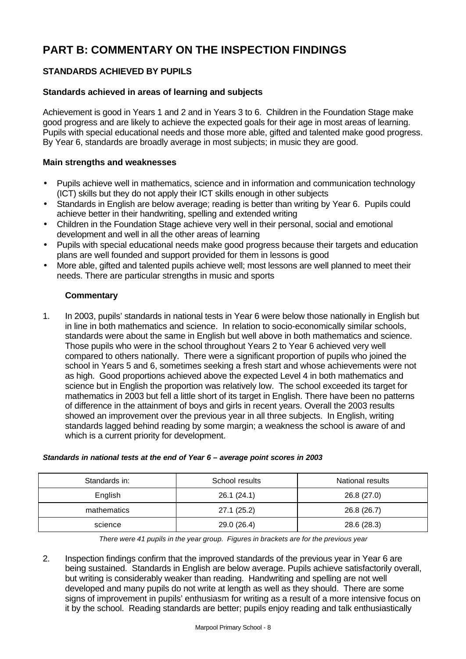# **PART B: COMMENTARY ON THE INSPECTION FINDINGS**

# **STANDARDS ACHIEVED BY PUPILS**

# **Standards achieved in areas of learning and subjects**

Achievement is good in Years 1 and 2 and in Years 3 to 6. Children in the Foundation Stage make good progress and are likely to achieve the expected goals for their age in most areas of learning. Pupils with special educational needs and those more able, gifted and talented make good progress. By Year 6, standards are broadly average in most subjects; in music they are good.

# **Main strengths and weaknesses**

- Pupils achieve well in mathematics, science and in information and communication technology (ICT) skills but they do not apply their ICT skills enough in other subjects
- Standards in English are below average; reading is better than writing by Year 6. Pupils could achieve better in their handwriting, spelling and extended writing
- Children in the Foundation Stage achieve very well in their personal, social and emotional development and well in all the other areas of learning
- Pupils with special educational needs make good progress because their targets and education plans are well founded and support provided for them in lessons is good
- More able, gifted and talented pupils achieve well; most lessons are well planned to meet their needs. There are particular strengths in music and sports

# **Commentary**

1. In 2003, pupils' standards in national tests in Year 6 were below those nationally in English but in line in both mathematics and science. In relation to socio-economically similar schools, standards were about the same in English but well above in both mathematics and science. Those pupils who were in the school throughout Years 2 to Year 6 achieved very well compared to others nationally. There were a significant proportion of pupils who joined the school in Years 5 and 6, sometimes seeking a fresh start and whose achievements were not as high. Good proportions achieved above the expected Level 4 in both mathematics and science but in English the proportion was relatively low. The school exceeded its target for mathematics in 2003 but fell a little short of its target in English. There have been no patterns of difference in the attainment of boys and girls in recent years. Overall the 2003 results showed an improvement over the previous year in all three subjects. In English, writing standards lagged behind reading by some margin; a weakness the school is aware of and which is a current priority for development.

| Standards in: | School results | National results |
|---------------|----------------|------------------|
| English       | 26.1(24.1)     | 26.8 (27.0)      |
| mathematics   | 27.1(25.2)     | 26.8 (26.7)      |
| science       | 29.0 (26.4)    | 28.6 (28.3)      |

#### *Standards in national tests at the end of Year 6 – average point scores in 2003*

*There were 41 pupils in the year group. Figures in brackets are for the previous year*

2. Inspection findings confirm that the improved standards of the previous year in Year 6 are being sustained. Standards in English are below average. Pupils achieve satisfactorily overall, but writing is considerably weaker than reading. Handwriting and spelling are not well developed and many pupils do not write at length as well as they should. There are some signs of improvement in pupils' enthusiasm for writing as a result of a more intensive focus on it by the school. Reading standards are better; pupils enjoy reading and talk enthusiastically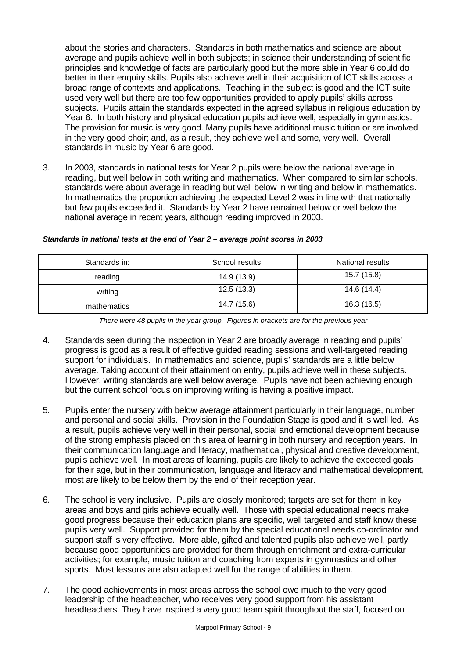about the stories and characters. Standards in both mathematics and science are about average and pupils achieve well in both subjects; in science their understanding of scientific principles and knowledge of facts are particularly good but the more able in Year 6 could do better in their enquiry skills. Pupils also achieve well in their acquisition of ICT skills across a broad range of contexts and applications. Teaching in the subject is good and the ICT suite used very well but there are too few opportunities provided to apply pupils' skills across subjects. Pupils attain the standards expected in the agreed syllabus in religious education by Year 6. In both history and physical education pupils achieve well, especially in gymnastics. The provision for music is very good. Many pupils have additional music tuition or are involved in the very good choir; and, as a result, they achieve well and some, very well. Overall standards in music by Year 6 are good.

3. In 2003, standards in national tests for Year 2 pupils were below the national average in reading, but well below in both writing and mathematics. When compared to similar schools, standards were about average in reading but well below in writing and below in mathematics. In mathematics the proportion achieving the expected Level 2 was in line with that nationally but few pupils exceeded it. Standards by Year 2 have remained below or well below the national average in recent years, although reading improved in 2003.

| Standards in: | School results | National results |
|---------------|----------------|------------------|
| reading       | 14.9 (13.9)    | 15.7 (15.8)      |
| writing       | 12.5(13.3)     | 14.6 (14.4)      |
| mathematics   | 14.7 (15.6)    | 16.3 (16.5)      |

#### *Standards in national tests at the end of Year 2 – average point scores in 2003*

*There were 48 pupils in the year group. Figures in brackets are for the previous year*

- 4. Standards seen during the inspection in Year 2 are broadly average in reading and pupils' progress is good as a result of effective guided reading sessions and well-targeted reading support for individuals. In mathematics and science, pupils' standards are a little below average. Taking account of their attainment on entry, pupils achieve well in these subjects. However, writing standards are well below average. Pupils have not been achieving enough but the current school focus on improving writing is having a positive impact.
- 5. Pupils enter the nursery with below average attainment particularly in their language, number and personal and social skills. Provision in the Foundation Stage is good and it is well led. As a result, pupils achieve very well in their personal, social and emotional development because of the strong emphasis placed on this area of learning in both nursery and reception years. In their communication language and literacy, mathematical, physical and creative development, pupils achieve well. In most areas of learning, pupils are likely to achieve the expected goals for their age, but in their communication, language and literacy and mathematical development, most are likely to be below them by the end of their reception year.
- 6. The school is very inclusive. Pupils are closely monitored; targets are set for them in key areas and boys and girls achieve equally well. Those with special educational needs make good progress because their education plans are specific, well targeted and staff know these pupils very well. Support provided for them by the special educational needs co-ordinator and support staff is very effective. More able, gifted and talented pupils also achieve well, partly because good opportunities are provided for them through enrichment and extra-curricular activities; for example, music tuition and coaching from experts in gymnastics and other sports. Most lessons are also adapted well for the range of abilities in them.
- 7. The good achievements in most areas across the school owe much to the very good leadership of the headteacher, who receives very good support from his assistant headteachers. They have inspired a very good team spirit throughout the staff, focused on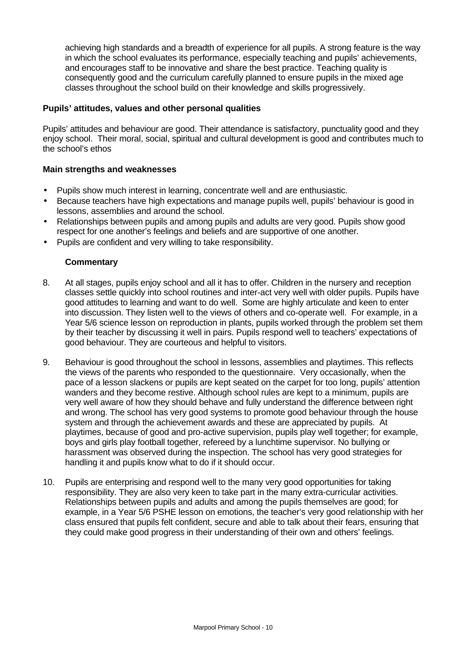achieving high standards and a breadth of experience for all pupils. A strong feature is the way in which the school evaluates its performance, especially teaching and pupils' achievements, and encourages staff to be innovative and share the best practice. Teaching quality is consequently good and the curriculum carefully planned to ensure pupils in the mixed age classes throughout the school build on their knowledge and skills progressively.

# **Pupils' attitudes, values and other personal qualities**

Pupils' attitudes and behaviour are good. Their attendance is satisfactory, punctuality good and they enjoy school. Their moral, social, spiritual and cultural development is good and contributes much to the school's ethos

# **Main strengths and weaknesses**

- Pupils show much interest in learning, concentrate well and are enthusiastic.
- Because teachers have high expectations and manage pupils well, pupils' behaviour is good in lessons, assemblies and around the school.
- Relationships between pupils and among pupils and adults are very good. Pupils show good respect for one another's feelings and beliefs and are supportive of one another.
- Pupils are confident and very willing to take responsibility.

- 8. At all stages, pupils enjoy school and all it has to offer. Children in the nursery and reception classes settle quickly into school routines and inter-act very well with older pupils. Pupils have good attitudes to learning and want to do well. Some are highly articulate and keen to enter into discussion. They listen well to the views of others and co-operate well. For example, in a Year 5/6 science lesson on reproduction in plants, pupils worked through the problem set them by their teacher by discussing it well in pairs. Pupils respond well to teachers' expectations of good behaviour. They are courteous and helpful to visitors.
- 9. Behaviour is good throughout the school in lessons, assemblies and playtimes. This reflects the views of the parents who responded to the questionnaire. Very occasionally, when the pace of a lesson slackens or pupils are kept seated on the carpet for too long, pupils' attention wanders and they become restive. Although school rules are kept to a minimum, pupils are very well aware of how they should behave and fully understand the difference between right and wrong. The school has very good systems to promote good behaviour through the house system and through the achievement awards and these are appreciated by pupils. At playtimes, because of good and pro-active supervision, pupils play well together; for example, boys and girls play football together, refereed by a lunchtime supervisor. No bullying or harassment was observed during the inspection. The school has very good strategies for handling it and pupils know what to do if it should occur.
- 10. Pupils are enterprising and respond well to the many very good opportunities for taking responsibility. They are also very keen to take part in the many extra-curricular activities. Relationships between pupils and adults and among the pupils themselves are good; for example, in a Year 5/6 PSHE lesson on emotions, the teacher's very good relationship with her class ensured that pupils felt confident, secure and able to talk about their fears, ensuring that they could make good progress in their understanding of their own and others' feelings.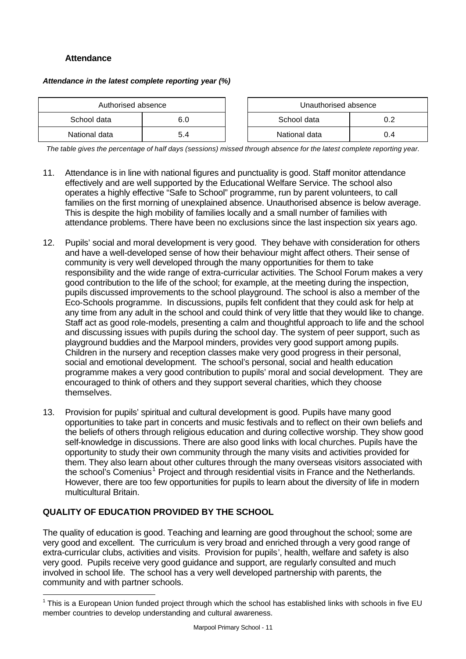# **Attendance**

#### *Attendance in the latest complete reporting year (%)*

| Authorised absence |     | Unauthorised absence |     |
|--------------------|-----|----------------------|-----|
| School data        | 6.0 | School data          | 0.2 |
| National data      | 5.4 | National data        | 0.4 |

| Unauthorised absence |     |  |  |  |
|----------------------|-----|--|--|--|
| School data<br>ሰ 2   |     |  |  |  |
| National data        | በ 4 |  |  |  |

*The table gives the percentage of half days (sessions) missed through absence for the latest complete reporting year.*

- 11. Attendance is in line with national figures and punctuality is good. Staff monitor attendance effectively and are well supported by the Educational Welfare Service. The school also operates a highly effective "Safe to School" programme, run by parent volunteers, to call families on the first morning of unexplained absence. Unauthorised absence is below average. This is despite the high mobility of families locally and a small number of families with attendance problems. There have been no exclusions since the last inspection six years ago.
- 12. Pupils' social and moral development is very good. They behave with consideration for others and have a well-developed sense of how their behaviour might affect others. Their sense of community is very well developed through the many opportunities for them to take responsibility and the wide range of extra-curricular activities. The School Forum makes a very good contribution to the life of the school; for example, at the meeting during the inspection, pupils discussed improvements to the school playground. The school is also a member of the Eco-Schools programme. In discussions, pupils felt confident that they could ask for help at any time from any adult in the school and could think of very little that they would like to change. Staff act as good role-models, presenting a calm and thoughtful approach to life and the school and discussing issues with pupils during the school day. The system of peer support, such as playground buddies and the Marpool minders, provides very good support among pupils. Children in the nursery and reception classes make very good progress in their personal, social and emotional development. The school's personal, social and health education programme makes a very good contribution to pupils' moral and social development. They are encouraged to think of others and they support several charities, which they choose themselves.
- 13. Provision for pupils' spiritual and cultural development is good. Pupils have many good opportunities to take part in concerts and music festivals and to reflect on their own beliefs and the beliefs of others through religious education and during collective worship. They show good self-knowledge in discussions. There are also good links with local churches. Pupils have the opportunity to study their own community through the many visits and activities provided for them. They also learn about other cultures through the many overseas visitors associated with the school's Comenius<sup>1</sup> Project and through residential visits in France and the Netherlands. However, there are too few opportunities for pupils to learn about the diversity of life in modern multicultural Britain.

# **QUALITY OF EDUCATION PROVIDED BY THE SCHOOL**

l

The quality of education is good. Teaching and learning are good throughout the school; some are very good and excellent. The curriculum is very broad and enriched through a very good range of extra-curricular clubs, activities and visits. Provision for pupils', health, welfare and safety is also very good. Pupils receive very good guidance and support, are regularly consulted and much involved in school life. The school has a very well developed partnership with parents, the community and with partner schools.

 $1$  This is a European Union funded project through which the school has established links with schools in five EU member countries to develop understanding and cultural awareness.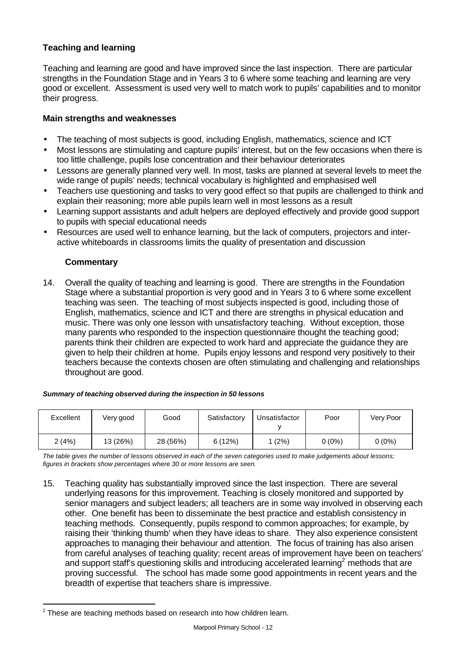# **Teaching and learning**

Teaching and learning are good and have improved since the last inspection. There are particular strengths in the Foundation Stage and in Years 3 to 6 where some teaching and learning are very good or excellent. Assessment is used very well to match work to pupils' capabilities and to monitor their progress.

# **Main strengths and weaknesses**

- The teaching of most subjects is good, including English, mathematics, science and ICT
- Most lessons are stimulating and capture pupils' interest, but on the few occasions when there is too little challenge, pupils lose concentration and their behaviour deteriorates
- Lessons are generally planned very well. In most, tasks are planned at several levels to meet the wide range of pupils' needs; technical vocabulary is highlighted and emphasised well
- Teachers use questioning and tasks to very good effect so that pupils are challenged to think and explain their reasoning; more able pupils learn well in most lessons as a result
- Learning support assistants and adult helpers are deployed effectively and provide good support to pupils with special educational needs
- Resources are used well to enhance learning, but the lack of computers, projectors and interactive whiteboards in classrooms limits the quality of presentation and discussion

# **Commentary**

14. Overall the quality of teaching and learning is good. There are strengths in the Foundation Stage where a substantial proportion is very good and in Years 3 to 6 where some excellent teaching was seen. The teaching of most subjects inspected is good, including those of English, mathematics, science and ICT and there are strengths in physical education and music. There was only one lesson with unsatisfactory teaching. Without exception, those many parents who responded to the inspection questionnaire thought the teaching good; parents think their children are expected to work hard and appreciate the guidance they are given to help their children at home. Pupils enjoy lessons and respond very positively to their teachers because the contexts chosen are often stimulating and challenging and relationships throughout are good.

#### *Summary of teaching observed during the inspection in 50 lessons*

| Excellent | Very good | Good     | Satisfactory | Unsatisfactor | Poor   | Very Poor |
|-----------|-----------|----------|--------------|---------------|--------|-----------|
| 2(4%)     | 13 (26%)  | 28 (56%) | 6(12%)       | (2%)          | 0 (0%) | $0(0\%)$  |

*The table gives the number of lessons observed in each of the seven categories used to make judgements about lessons; figures in brackets show percentages where 30 or more lessons are seen.*

15. Teaching quality has substantially improved since the last inspection. There are several underlying reasons for this improvement. Teaching is closely monitored and supported by senior managers and subject leaders; all teachers are in some way involved in observing each other. One benefit has been to disseminate the best practice and establish consistency in teaching methods. Consequently, pupils respond to common approaches; for example, by raising their 'thinking thumb' when they have ideas to share. They also experience consistent approaches to managing their behaviour and attention. The focus of training has also arisen from careful analyses of teaching quality; recent areas of improvement have been on teachers' and support staff's questioning skills and introducing accelerated learning<sup>2</sup> methods that are proving successful. The school has made some good appointments in recent years and the breadth of expertise that teachers share is impressive.

l  $2$  These are teaching methods based on research into how children learn.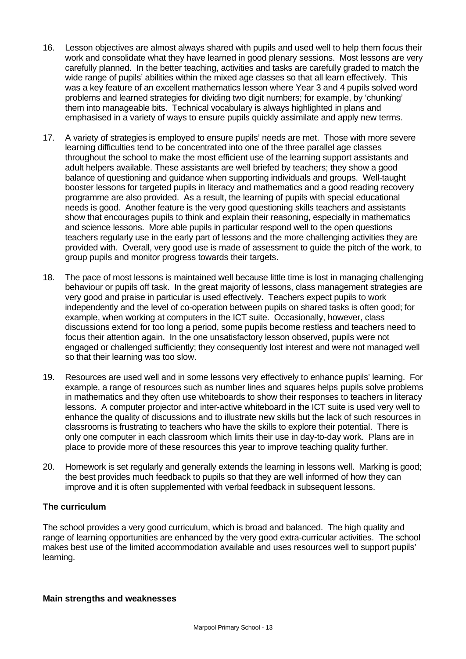- 16. Lesson objectives are almost always shared with pupils and used well to help them focus their work and consolidate what they have learned in good plenary sessions. Most lessons are very carefully planned. In the better teaching, activities and tasks are carefully graded to match the wide range of pupils' abilities within the mixed age classes so that all learn effectively. This was a key feature of an excellent mathematics lesson where Year 3 and 4 pupils solved word problems and learned strategies for dividing two digit numbers; for example, by 'chunking' them into manageable bits. Technical vocabulary is always highlighted in plans and emphasised in a variety of ways to ensure pupils quickly assimilate and apply new terms.
- 17. A variety of strategies is employed to ensure pupils' needs are met. Those with more severe learning difficulties tend to be concentrated into one of the three parallel age classes throughout the school to make the most efficient use of the learning support assistants and adult helpers available. These assistants are well briefed by teachers; they show a good balance of questioning and guidance when supporting individuals and groups. Well-taught booster lessons for targeted pupils in literacy and mathematics and a good reading recovery programme are also provided. As a result, the learning of pupils with special educational needs is good. Another feature is the very good questioning skills teachers and assistants show that encourages pupils to think and explain their reasoning, especially in mathematics and science lessons. More able pupils in particular respond well to the open questions teachers regularly use in the early part of lessons and the more challenging activities they are provided with. Overall, very good use is made of assessment to guide the pitch of the work, to group pupils and monitor progress towards their targets.
- 18. The pace of most lessons is maintained well because little time is lost in managing challenging behaviour or pupils off task. In the great majority of lessons, class management strategies are very good and praise in particular is used effectively. Teachers expect pupils to work independently and the level of co-operation between pupils on shared tasks is often good; for example, when working at computers in the ICT suite. Occasionally, however, class discussions extend for too long a period, some pupils become restless and teachers need to focus their attention again. In the one unsatisfactory lesson observed, pupils were not engaged or challenged sufficiently; they consequently lost interest and were not managed well so that their learning was too slow.
- 19. Resources are used well and in some lessons very effectively to enhance pupils' learning. For example, a range of resources such as number lines and squares helps pupils solve problems in mathematics and they often use whiteboards to show their responses to teachers in literacy lessons. A computer projector and inter-active whiteboard in the ICT suite is used very well to enhance the quality of discussions and to illustrate new skills but the lack of such resources in classrooms is frustrating to teachers who have the skills to explore their potential. There is only one computer in each classroom which limits their use in day-to-day work. Plans are in place to provide more of these resources this year to improve teaching quality further.
- 20. Homework is set regularly and generally extends the learning in lessons well. Marking is good; the best provides much feedback to pupils so that they are well informed of how they can improve and it is often supplemented with verbal feedback in subsequent lessons.

# **The curriculum**

The school provides a very good curriculum, which is broad and balanced. The high quality and range of learning opportunities are enhanced by the very good extra-curricular activities. The school makes best use of the limited accommodation available and uses resources well to support pupils' learning.

# **Main strengths and weaknesses**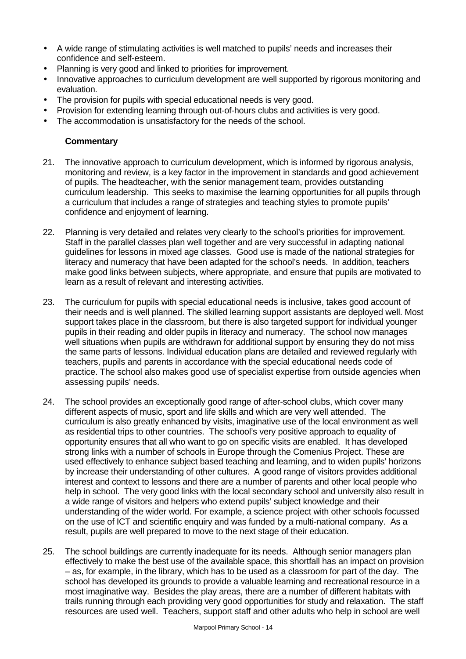- A wide range of stimulating activities is well matched to pupils' needs and increases their confidence and self-esteem.
- Planning is very good and linked to priorities for improvement.
- Innovative approaches to curriculum development are well supported by rigorous monitoring and evaluation.
- The provision for pupils with special educational needs is very good.
- Provision for extending learning through out-of-hours clubs and activities is very good.
- The accommodation is unsatisfactory for the needs of the school.

- 21. The innovative approach to curriculum development, which is informed by rigorous analysis, monitoring and review, is a key factor in the improvement in standards and good achievement of pupils. The headteacher, with the senior management team, provides outstanding curriculum leadership. This seeks to maximise the learning opportunities for all pupils through a curriculum that includes a range of strategies and teaching styles to promote pupils' confidence and enjoyment of learning.
- 22. Planning is very detailed and relates very clearly to the school's priorities for improvement. Staff in the parallel classes plan well together and are very successful in adapting national guidelines for lessons in mixed age classes. Good use is made of the national strategies for literacy and numeracy that have been adapted for the school's needs. In addition, teachers make good links between subjects, where appropriate, and ensure that pupils are motivated to learn as a result of relevant and interesting activities.
- 23. The curriculum for pupils with special educational needs is inclusive, takes good account of their needs and is well planned. The skilled learning support assistants are deployed well. Most support takes place in the classroom, but there is also targeted support for individual younger pupils in their reading and older pupils in literacy and numeracy. The school now manages well situations when pupils are withdrawn for additional support by ensuring they do not miss the same parts of lessons. Individual education plans are detailed and reviewed regularly with teachers, pupils and parents in accordance with the special educational needs code of practice. The school also makes good use of specialist expertise from outside agencies when assessing pupils' needs.
- 24. The school provides an exceptionally good range of after-school clubs, which cover many different aspects of music, sport and life skills and which are very well attended. The curriculum is also greatly enhanced by visits, imaginative use of the local environment as well as residential trips to other countries. The school's very positive approach to equality of opportunity ensures that all who want to go on specific visits are enabled. It has developed strong links with a number of schools in Europe through the Comenius Project. These are used effectively to enhance subject based teaching and learning, and to widen pupils' horizons by increase their understanding of other cultures. A good range of visitors provides additional interest and context to lessons and there are a number of parents and other local people who help in school. The very good links with the local secondary school and university also result in a wide range of visitors and helpers who extend pupils' subject knowledge and their understanding of the wider world. For example, a science project with other schools focussed on the use of ICT and scientific enquiry and was funded by a multi-national company. As a result, pupils are well prepared to move to the next stage of their education.
- 25. The school buildings are currently inadequate for its needs. Although senior managers plan effectively to make the best use of the available space, this shortfall has an impact on provision – as, for example, in the library, which has to be used as a classroom for part of the day. The school has developed its grounds to provide a valuable learning and recreational resource in a most imaginative way. Besides the play areas, there are a number of different habitats with trails running through each providing very good opportunities for study and relaxation. The staff resources are used well. Teachers, support staff and other adults who help in school are well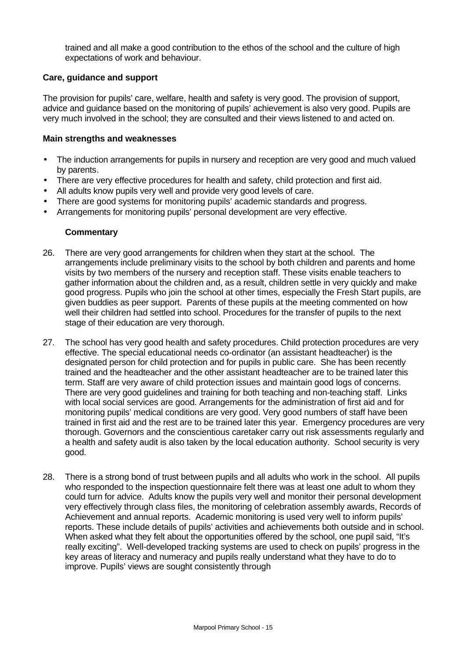trained and all make a good contribution to the ethos of the school and the culture of high expectations of work and behaviour.

# **Care, guidance and support**

The provision for pupils' care, welfare, health and safety is very good. The provision of support, advice and guidance based on the monitoring of pupils' achievement is also very good. Pupils are very much involved in the school; they are consulted and their views listened to and acted on.

## **Main strengths and weaknesses**

- The induction arrangements for pupils in nursery and reception are very good and much valued by parents.
- There are very effective procedures for health and safety, child protection and first aid.
- All adults know pupils very well and provide very good levels of care.
- There are good systems for monitoring pupils' academic standards and progress.
- Arrangements for monitoring pupils' personal development are very effective.

- 26. There are very good arrangements for children when they start at the school. The arrangements include preliminary visits to the school by both children and parents and home visits by two members of the nursery and reception staff. These visits enable teachers to gather information about the children and, as a result, children settle in very quickly and make good progress. Pupils who join the school at other times, especially the Fresh Start pupils, are given buddies as peer support. Parents of these pupils at the meeting commented on how well their children had settled into school. Procedures for the transfer of pupils to the next stage of their education are very thorough.
- 27. The school has very good health and safety procedures. Child protection procedures are very effective. The special educational needs co-ordinator (an assistant headteacher) is the designated person for child protection and for pupils in public care. She has been recently trained and the headteacher and the other assistant headteacher are to be trained later this term. Staff are very aware of child protection issues and maintain good logs of concerns. There are very good guidelines and training for both teaching and non-teaching staff. Links with local social services are good. Arrangements for the administration of first aid and for monitoring pupils' medical conditions are very good. Very good numbers of staff have been trained in first aid and the rest are to be trained later this year. Emergency procedures are very thorough. Governors and the conscientious caretaker carry out risk assessments regularly and a health and safety audit is also taken by the local education authority. School security is very good.
- 28. There is a strong bond of trust between pupils and all adults who work in the school. All pupils who responded to the inspection questionnaire felt there was at least one adult to whom they could turn for advice. Adults know the pupils very well and monitor their personal development very effectively through class files, the monitoring of celebration assembly awards, Records of Achievement and annual reports. Academic monitoring is used very well to inform pupils' reports. These include details of pupils' activities and achievements both outside and in school. When asked what they felt about the opportunities offered by the school, one pupil said, "It's really exciting". Well-developed tracking systems are used to check on pupils' progress in the key areas of literacy and numeracy and pupils really understand what they have to do to improve. Pupils' views are sought consistently through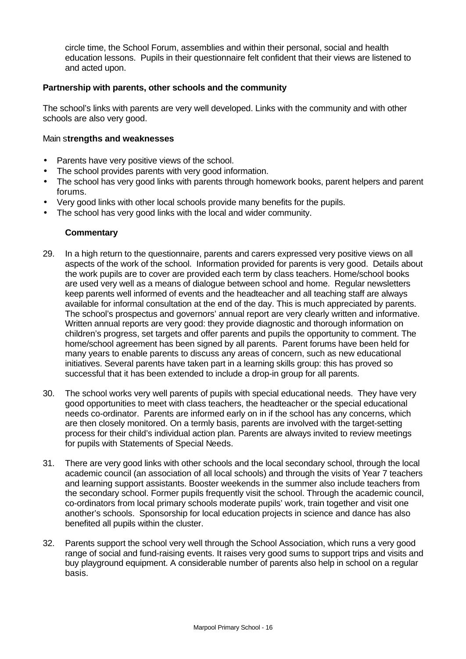circle time, the School Forum, assemblies and within their personal, social and health education lessons. Pupils in their questionnaire felt confident that their views are listened to and acted upon.

# **Partnership with parents, other schools and the community**

The school's links with parents are very well developed. Links with the community and with other schools are also very good.

#### Main s**trengths and weaknesses**

- Parents have very positive views of the school.
- The school provides parents with very good information.
- The school has very good links with parents through homework books, parent helpers and parent forums.
- Very good links with other local schools provide many benefits for the pupils.
- The school has very good links with the local and wider community.

- 29. In a high return to the questionnaire, parents and carers expressed very positive views on all aspects of the work of the school. Information provided for parents is very good. Details about the work pupils are to cover are provided each term by class teachers. Home/school books are used very well as a means of dialogue between school and home. Regular newsletters keep parents well informed of events and the headteacher and all teaching staff are always available for informal consultation at the end of the day. This is much appreciated by parents. The school's prospectus and governors' annual report are very clearly written and informative. Written annual reports are very good: they provide diagnostic and thorough information on children's progress, set targets and offer parents and pupils the opportunity to comment. The home/school agreement has been signed by all parents. Parent forums have been held for many years to enable parents to discuss any areas of concern, such as new educational initiatives. Several parents have taken part in a learning skills group: this has proved so successful that it has been extended to include a drop-in group for all parents.
- 30. The school works very well parents of pupils with special educational needs. They have very good opportunities to meet with class teachers, the headteacher or the special educational needs co-ordinator. Parents are informed early on in if the school has any concerns, which are then closely monitored. On a termly basis, parents are involved with the target-setting process for their child's individual action plan. Parents are always invited to review meetings for pupils with Statements of Special Needs.
- 31. There are very good links with other schools and the local secondary school, through the local academic council (an association of all local schools) and through the visits of Year 7 teachers and learning support assistants. Booster weekends in the summer also include teachers from the secondary school. Former pupils frequently visit the school. Through the academic council, co-ordinators from local primary schools moderate pupils' work, train together and visit one another's schools. Sponsorship for local education projects in science and dance has also benefited all pupils within the cluster.
- 32. Parents support the school very well through the School Association, which runs a very good range of social and fund-raising events. It raises very good sums to support trips and visits and buy playground equipment. A considerable number of parents also help in school on a regular basis.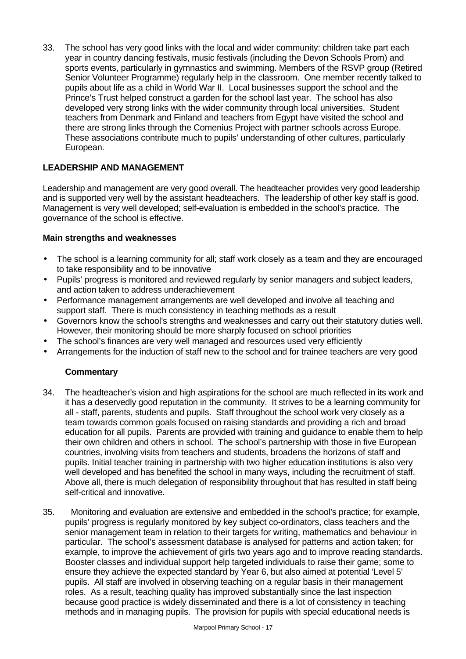33. The school has very good links with the local and wider community: children take part each year in country dancing festivals, music festivals (including the Devon Schools Prom) and sports events, particularly in gymnastics and swimming. Members of the RSVP group (Retired Senior Volunteer Programme) regularly help in the classroom. One member recently talked to pupils about life as a child in World War II. Local businesses support the school and the Prince's Trust helped construct a garden for the school last year. The school has also developed very strong links with the wider community through local universities. Student teachers from Denmark and Finland and teachers from Egypt have visited the school and there are strong links through the Comenius Project with partner schools across Europe. These associations contribute much to pupils' understanding of other cultures, particularly European.

# **LEADERSHIP AND MANAGEMENT**

Leadership and management are very good overall. The headteacher provides very good leadership and is supported very well by the assistant headteachers. The leadership of other key staff is good. Management is very well developed; self-evaluation is embedded in the school's practice. The governance of the school is effective.

#### **Main strengths and weaknesses**

- The school is a learning community for all; staff work closely as a team and they are encouraged to take responsibility and to be innovative
- Pupils' progress is monitored and reviewed regularly by senior managers and subject leaders, and action taken to address underachievement
- Performance management arrangements are well developed and involve all teaching and support staff. There is much consistency in teaching methods as a result
- Governors know the school's strengths and weaknesses and carry out their statutory duties well. However, their monitoring should be more sharply focused on school priorities
- The school's finances are very well managed and resources used very efficiently
- Arrangements for the induction of staff new to the school and for trainee teachers are very good

- 34. The headteacher's vision and high aspirations for the school are much reflected in its work and it has a deservedly good reputation in the community. It strives to be a learning community for all - staff, parents, students and pupils. Staff throughout the school work very closely as a team towards common goals focused on raising standards and providing a rich and broad education for all pupils. Parents are provided with training and guidance to enable them to help their own children and others in school. The school's partnership with those in five European countries, involving visits from teachers and students, broadens the horizons of staff and pupils. Initial teacher training in partnership with two higher education institutions is also very well developed and has benefited the school in many ways, including the recruitment of staff. Above all, there is much delegation of responsibility throughout that has resulted in staff being self-critical and innovative.
- 35. Monitoring and evaluation are extensive and embedded in the school's practice; for example, pupils' progress is regularly monitored by key subject co-ordinators, class teachers and the senior management team in relation to their targets for writing, mathematics and behaviour in particular. The school's assessment database is analysed for patterns and action taken; for example, to improve the achievement of girls two years ago and to improve reading standards. Booster classes and individual support help targeted individuals to raise their game; some to ensure they achieve the expected standard by Year 6, but also aimed at potential 'Level 5' pupils. All staff are involved in observing teaching on a regular basis in their management roles. As a result, teaching quality has improved substantially since the last inspection because good practice is widely disseminated and there is a lot of consistency in teaching methods and in managing pupils. The provision for pupils with special educational needs is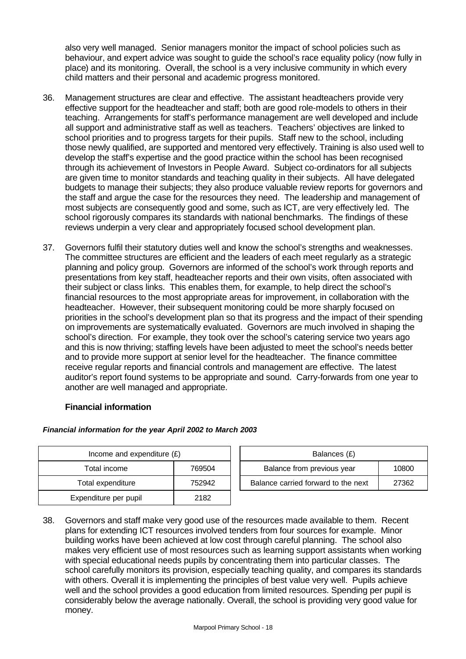also very well managed. Senior managers monitor the impact of school policies such as behaviour, and expert advice was sought to guide the school's race equality policy (now fully in place) and its monitoring. Overall, the school is a very inclusive community in which every child matters and their personal and academic progress monitored.

- 36. Management structures are clear and effective. The assistant headteachers provide very effective support for the headteacher and staff; both are good role-models to others in their teaching. Arrangements for staff's performance management are well developed and include all support and administrative staff as well as teachers. Teachers' objectives are linked to school priorities and to progress targets for their pupils. Staff new to the school, including those newly qualified, are supported and mentored very effectively. Training is also used well to develop the staff's expertise and the good practice within the school has been recognised through its achievement of Investors in People Award. Subject co-ordinators for all subjects are given time to monitor standards and teaching quality in their subjects. All have delegated budgets to manage their subjects; they also produce valuable review reports for governors and the staff and argue the case for the resources they need. The leadership and management of most subjects are consequently good and some, such as ICT, are very effectively led. The school rigorously compares its standards with national benchmarks. The findings of these reviews underpin a very clear and appropriately focused school development plan.
- 37. Governors fulfil their statutory duties well and know the school's strengths and weaknesses. The committee structures are efficient and the leaders of each meet regularly as a strategic planning and policy group. Governors are informed of the school's work through reports and presentations from key staff, headteacher reports and their own visits, often associated with their subject or class links. This enables them, for example, to help direct the school's financial resources to the most appropriate areas for improvement, in collaboration with the headteacher. However, their subsequent monitoring could be more sharply focused on priorities in the school's development plan so that its progress and the impact of their spending on improvements are systematically evaluated. Governors are much involved in shaping the school's direction. For example, they took over the school's catering service two years ago and this is now thriving; staffing levels have been adjusted to meet the school's needs better and to provide more support at senior level for the headteacher. The finance committee receive regular reports and financial controls and management are effective. The latest auditor's report found systems to be appropriate and sound. Carry-forwards from one year to another are well managed and appropriate.

# **Financial information**

| Income and expenditure $(E)$ |        | Balances (£)                                 |  |  |
|------------------------------|--------|----------------------------------------------|--|--|
| Total income                 | 769504 | Balance from previous year<br>10800          |  |  |
| Total expenditure            | 752942 | Balance carried forward to the next<br>27362 |  |  |
| Expenditure per pupil        | 2182   |                                              |  |  |

# *Financial information for the year April 2002 to March 2003*

38. Governors and staff make very good use of the resources made available to them. Recent plans for extending ICT resources involved tenders from four sources for example. Minor building works have been achieved at low cost through careful planning. The school also makes very efficient use of most resources such as learning support assistants when working with special educational needs pupils by concentrating them into particular classes. The school carefully monitors its provision, especially teaching quality, and compares its standards with others. Overall it is implementing the principles of best value very well. Pupils achieve well and the school provides a good education from limited resources. Spending per pupil is considerably below the average nationally. Overall, the school is providing very good value for money.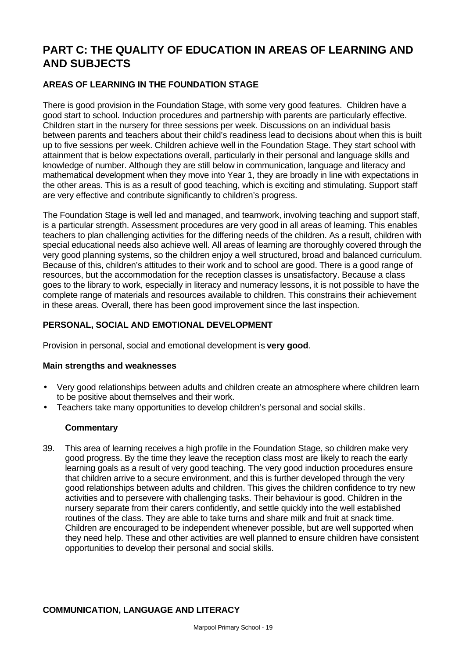# **PART C: THE QUALITY OF EDUCATION IN AREAS OF LEARNING AND AND SUBJECTS**

# **AREAS OF LEARNING IN THE FOUNDATION STAGE**

There is good provision in the Foundation Stage, with some very good features. Children have a good start to school. Induction procedures and partnership with parents are particularly effective. Children start in the nursery for three sessions per week. Discussions on an individual basis between parents and teachers about their child's readiness lead to decisions about when this is built up to five sessions per week. Children achieve well in the Foundation Stage. They start school with attainment that is below expectations overall, particularly in their personal and language skills and knowledge of number. Although they are still below in communication, language and literacy and mathematical development when they move into Year 1, they are broadly in line with expectations in the other areas. This is as a result of good teaching, which is exciting and stimulating. Support staff are very effective and contribute significantly to children's progress.

The Foundation Stage is well led and managed, and teamwork, involving teaching and support staff, is a particular strength. Assessment procedures are very good in all areas of learning. This enables teachers to plan challenging activities for the differing needs of the children. As a result, children with special educational needs also achieve well. All areas of learning are thoroughly covered through the very good planning systems, so the children enjoy a well structured, broad and balanced curriculum. Because of this, children's attitudes to their work and to school are good. There is a good range of resources, but the accommodation for the reception classes is unsatisfactory. Because a class goes to the library to work, especially in literacy and numeracy lessons, it is not possible to have the complete range of materials and resources available to children. This constrains their achievement in these areas. Overall, there has been good improvement since the last inspection.

# **PERSONAL, SOCIAL AND EMOTIONAL DEVELOPMENT**

Provision in personal, social and emotional development is **very good**.

# **Main strengths and weaknesses**

- Very good relationships between adults and children create an atmosphere where children learn to be positive about themselves and their work.
- Teachers take many opportunities to develop children's personal and social skills.

# **Commentary**

39. This area of learning receives a high profile in the Foundation Stage, so children make very good progress. By the time they leave the reception class most are likely to reach the early learning goals as a result of very good teaching. The very good induction procedures ensure that children arrive to a secure environment, and this is further developed through the very good relationships between adults and children. This gives the children confidence to try new activities and to persevere with challenging tasks. Their behaviour is good. Children in the nursery separate from their carers confidently, and settle quickly into the well established routines of the class. They are able to take turns and share milk and fruit at snack time. Children are encouraged to be independent whenever possible, but are well supported when they need help. These and other activities are well planned to ensure children have consistent opportunities to develop their personal and social skills.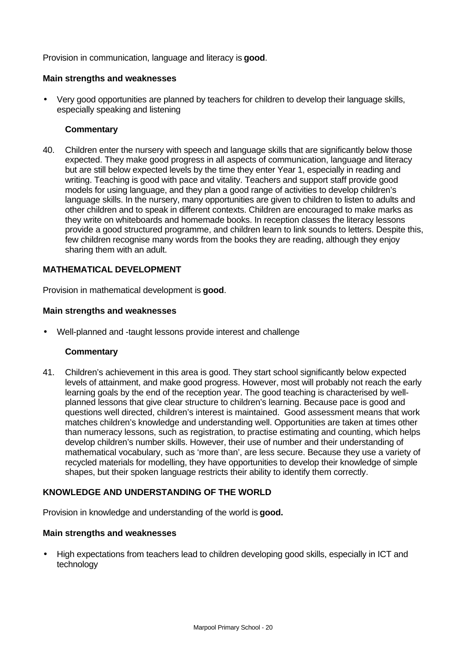Provision in communication, language and literacy is **good**.

# **Main strengths and weaknesses**

• Very good opportunities are planned by teachers for children to develop their language skills, especially speaking and listening

## **Commentary**

40. Children enter the nursery with speech and language skills that are significantly below those expected. They make good progress in all aspects of communication, language and literacy but are still below expected levels by the time they enter Year 1, especially in reading and writing. Teaching is good with pace and vitality. Teachers and support staff provide good models for using language, and they plan a good range of activities to develop children's language skills. In the nursery, many opportunities are given to children to listen to adults and other children and to speak in different contexts. Children are encouraged to make marks as they write on whiteboards and homemade books. In reception classes the literacy lessons provide a good structured programme, and children learn to link sounds to letters. Despite this, few children recognise many words from the books they are reading, although they enjoy sharing them with an adult.

# **MATHEMATICAL DEVELOPMENT**

Provision in mathematical development is **good**.

#### **Main strengths and weaknesses**

• Well-planned and -taught lessons provide interest and challenge

#### **Commentary**

41. Children's achievement in this area is good. They start school significantly below expected levels of attainment, and make good progress. However, most will probably not reach the early learning goals by the end of the reception year. The good teaching is characterised by wellplanned lessons that give clear structure to children's learning. Because pace is good and questions well directed, children's interest is maintained. Good assessment means that work matches children's knowledge and understanding well. Opportunities are taken at times other than numeracy lessons, such as registration, to practise estimating and counting, which helps develop children's number skills. However, their use of number and their understanding of mathematical vocabulary, such as 'more than', are less secure. Because they use a variety of recycled materials for modelling, they have opportunities to develop their knowledge of simple shapes, but their spoken language restricts their ability to identify them correctly.

#### **KNOWLEDGE AND UNDERSTANDING OF THE WORLD**

Provision in knowledge and understanding of the world is **good.**

#### **Main strengths and weaknesses**

• High expectations from teachers lead to children developing good skills, especially in ICT and technology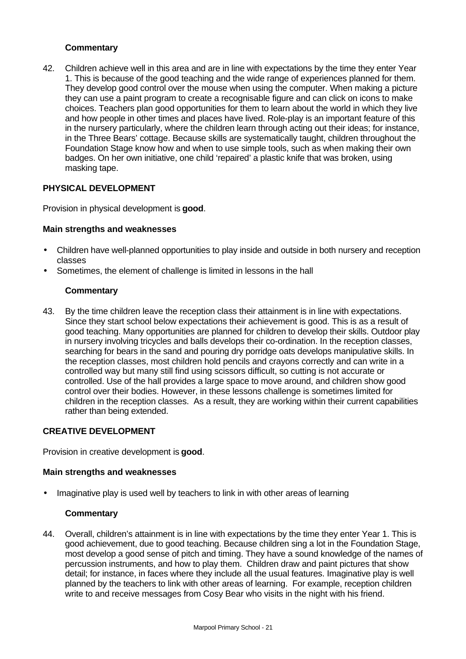# **Commentary**

42. Children achieve well in this area and are in line with expectations by the time they enter Year 1. This is because of the good teaching and the wide range of experiences planned for them. They develop good control over the mouse when using the computer. When making a picture they can use a paint program to create a recognisable figure and can click on icons to make choices. Teachers plan good opportunities for them to learn about the world in which they live and how people in other times and places have lived. Role-play is an important feature of this in the nursery particularly, where the children learn through acting out their ideas; for instance, in the Three Bears' cottage. Because skills are systematically taught, children throughout the Foundation Stage know how and when to use simple tools, such as when making their own badges. On her own initiative, one child 'repaired' a plastic knife that was broken, using masking tape.

# **PHYSICAL DEVELOPMENT**

Provision in physical development is **good**.

# **Main strengths and weaknesses**

- Children have well-planned opportunities to play inside and outside in both nursery and reception classes
- Sometimes, the element of challenge is limited in lessons in the hall

# **Commentary**

43. By the time children leave the reception class their attainment is in line with expectations. Since they start school below expectations their achievement is good. This is as a result of good teaching. Many opportunities are planned for children to develop their skills. Outdoor play in nursery involving tricycles and balls develops their co-ordination. In the reception classes, searching for bears in the sand and pouring dry porridge oats develops manipulative skills. In the reception classes, most children hold pencils and crayons correctly and can write in a controlled way but many still find using scissors difficult, so cutting is not accurate or controlled. Use of the hall provides a large space to move around, and children show good control over their bodies. However, in these lessons challenge is sometimes limited for children in the reception classes. As a result, they are working within their current capabilities rather than being extended.

# **CREATIVE DEVELOPMENT**

Provision in creative development is **good**.

#### **Main strengths and weaknesses**

Imaginative play is used well by teachers to link in with other areas of learning

# **Commentary**

44. Overall, children's attainment is in line with expectations by the time they enter Year 1. This is good achievement, due to good teaching. Because children sing a lot in the Foundation Stage, most develop a good sense of pitch and timing. They have a sound knowledge of the names of percussion instruments, and how to play them. Children draw and paint pictures that show detail; for instance, in faces where they include all the usual features. Imaginative play is well planned by the teachers to link with other areas of learning. For example, reception children write to and receive messages from Cosy Bear who visits in the night with his friend.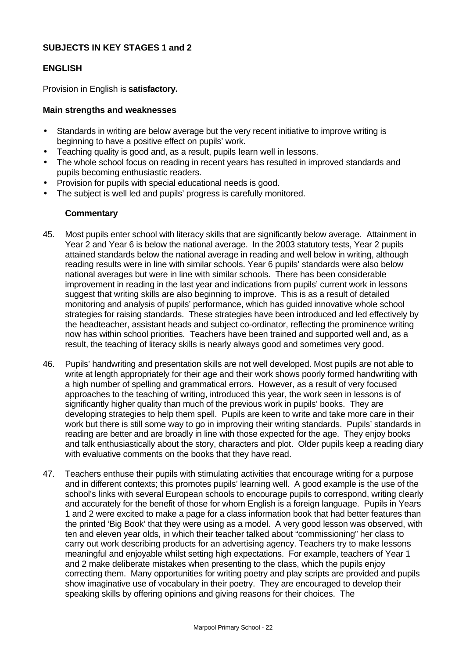# **SUBJECTS IN KEY STAGES 1 and 2**

### **ENGLISH**

Provision in English is **satisfactory.**

#### **Main strengths and weaknesses**

- Standards in writing are below average but the very recent initiative to improve writing is beginning to have a positive effect on pupils' work.
- Teaching quality is good and, as a result, pupils learn well in lessons.
- The whole school focus on reading in recent years has resulted in improved standards and pupils becoming enthusiastic readers.
- Provision for pupils with special educational needs is good.
- The subject is well led and pupils' progress is carefully monitored.

- 45. Most pupils enter school with literacy skills that are significantly below average. Attainment in Year 2 and Year 6 is below the national average. In the 2003 statutory tests, Year 2 pupils attained standards below the national average in reading and well below in writing, although reading results were in line with similar schools. Year 6 pupils' standards were also below national averages but were in line with similar schools. There has been considerable improvement in reading in the last year and indications from pupils' current work in lessons suggest that writing skills are also beginning to improve. This is as a result of detailed monitoring and analysis of pupils' performance, which has guided innovative whole school strategies for raising standards. These strategies have been introduced and led effectively by the headteacher, assistant heads and subject co-ordinator, reflecting the prominence writing now has within school priorities. Teachers have been trained and supported well and, as a result, the teaching of literacy skills is nearly always good and sometimes very good.
- 46. Pupils' handwriting and presentation skills are not well developed. Most pupils are not able to write at length appropriately for their age and their work shows poorly formed handwriting with a high number of spelling and grammatical errors. However, as a result of very focused approaches to the teaching of writing, introduced this year, the work seen in lessons is of significantly higher quality than much of the previous work in pupils' books. They are developing strategies to help them spell. Pupils are keen to write and take more care in their work but there is still some way to go in improving their writing standards. Pupils' standards in reading are better and are broadly in line with those expected for the age. They enjoy books and talk enthusiastically about the story, characters and plot. Older pupils keep a reading diary with evaluative comments on the books that they have read.
- 47. Teachers enthuse their pupils with stimulating activities that encourage writing for a purpose and in different contexts; this promotes pupils' learning well. A good example is the use of the school's links with several European schools to encourage pupils to correspond, writing clearly and accurately for the benefit of those for whom English is a foreign language. Pupils in Years 1 and 2 were excited to make a page for a class information book that had better features than the printed 'Big Book' that they were using as a model. A very good lesson was observed, with ten and eleven year olds, in which their teacher talked about "commissioning" her class to carry out work describing products for an advertising agency. Teachers try to make lessons meaningful and enjoyable whilst setting high expectations. For example, teachers of Year 1 and 2 make deliberate mistakes when presenting to the class, which the pupils enjoy correcting them. Many opportunities for writing poetry and play scripts are provided and pupils show imaginative use of vocabulary in their poetry. They are encouraged to develop their speaking skills by offering opinions and giving reasons for their choices. The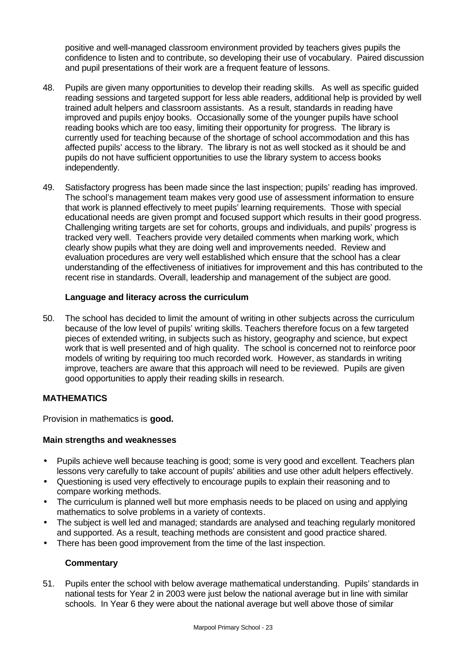positive and well-managed classroom environment provided by teachers gives pupils the confidence to listen and to contribute, so developing their use of vocabulary. Paired discussion and pupil presentations of their work are a frequent feature of lessons.

- 48. Pupils are given many opportunities to develop their reading skills. As well as specific guided reading sessions and targeted support for less able readers, additional help is provided by well trained adult helpers and classroom assistants. As a result, standards in reading have improved and pupils enjoy books. Occasionally some of the younger pupils have school reading books which are too easy, limiting their opportunity for progress. The library is currently used for teaching because of the shortage of school accommodation and this has affected pupils' access to the library. The library is not as well stocked as it should be and pupils do not have sufficient opportunities to use the library system to access books independently.
- 49. Satisfactory progress has been made since the last inspection; pupils' reading has improved. The school's management team makes very good use of assessment information to ensure that work is planned effectively to meet pupils' learning requirements. Those with special educational needs are given prompt and focused support which results in their good progress. Challenging writing targets are set for cohorts, groups and individuals, and pupils' progress is tracked very well. Teachers provide very detailed comments when marking work, which clearly show pupils what they are doing well and improvements needed. Review and evaluation procedures are very well established which ensure that the school has a clear understanding of the effectiveness of initiatives for improvement and this has contributed to the recent rise in standards. Overall, leadership and management of the subject are good.

# **Language and literacy across the curriculum**

50. The school has decided to limit the amount of writing in other subjects across the curriculum because of the low level of pupils' writing skills. Teachers therefore focus on a few targeted pieces of extended writing, in subjects such as history, geography and science, but expect work that is well presented and of high quality. The school is concerned not to reinforce poor models of writing by requiring too much recorded work. However, as standards in writing improve, teachers are aware that this approach will need to be reviewed. Pupils are given good opportunities to apply their reading skills in research.

# **MATHEMATICS**

Provision in mathematics is **good.**

# **Main strengths and weaknesses**

- Pupils achieve well because teaching is good; some is very good and excellent. Teachers plan lessons very carefully to take account of pupils' abilities and use other adult helpers effectively.
- Questioning is used very effectively to encourage pupils to explain their reasoning and to compare working methods.
- The curriculum is planned well but more emphasis needs to be placed on using and applying mathematics to solve problems in a variety of contexts.
- The subject is well led and managed; standards are analysed and teaching regularly monitored and supported. As a result, teaching methods are consistent and good practice shared.
- There has been good improvement from the time of the last inspection.

# **Commentary**

51. Pupils enter the school with below average mathematical understanding. Pupils' standards in national tests for Year 2 in 2003 were just below the national average but in line with similar schools. In Year 6 they were about the national average but well above those of similar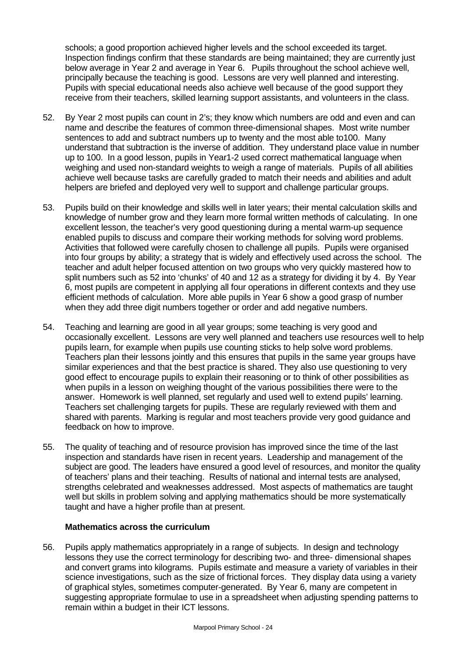schools; a good proportion achieved higher levels and the school exceeded its target. Inspection findings confirm that these standards are being maintained; they are currently just below average in Year 2 and average in Year 6. Pupils throughout the school achieve well, principally because the teaching is good. Lessons are very well planned and interesting. Pupils with special educational needs also achieve well because of the good support they receive from their teachers, skilled learning support assistants, and volunteers in the class.

- 52. By Year 2 most pupils can count in 2's; they know which numbers are odd and even and can name and describe the features of common three-dimensional shapes. Most write number sentences to add and subtract numbers up to twenty and the most able to100. Many understand that subtraction is the inverse of addition. They understand place value in number up to 100. In a good lesson, pupils in Year1-2 used correct mathematical language when weighing and used non-standard weights to weigh a range of materials. Pupils of all abilities achieve well because tasks are carefully graded to match their needs and abilities and adult helpers are briefed and deployed very well to support and challenge particular groups.
- 53. Pupils build on their knowledge and skills well in later years; their mental calculation skills and knowledge of number grow and they learn more formal written methods of calculating. In one excellent lesson, the teacher's very good questioning during a mental warm-up sequence enabled pupils to discuss and compare their working methods for solving word problems. Activities that followed were carefully chosen to challenge all pupils. Pupils were organised into four groups by ability; a strategy that is widely and effectively used across the school. The teacher and adult helper focused attention on two groups who very quickly mastered how to split numbers such as 52 into 'chunks' of 40 and 12 as a strategy for dividing it by 4. By Year 6, most pupils are competent in applying all four operations in different contexts and they use efficient methods of calculation. More able pupils in Year 6 show a good grasp of number when they add three digit numbers together or order and add negative numbers.
- 54. Teaching and learning are good in all year groups; some teaching is very good and occasionally excellent. Lessons are very well planned and teachers use resources well to help pupils learn, for example when pupils use counting sticks to help solve word problems. Teachers plan their lessons jointly and this ensures that pupils in the same year groups have similar experiences and that the best practice is shared. They also use questioning to very good effect to encourage pupils to explain their reasoning or to think of other possibilities as when pupils in a lesson on weighing thought of the various possibilities there were to the answer. Homework is well planned, set regularly and used well to extend pupils' learning. Teachers set challenging targets for pupils. These are regularly reviewed with them and shared with parents. Marking is regular and most teachers provide very good guidance and feedback on how to improve.
- 55. The quality of teaching and of resource provision has improved since the time of the last inspection and standards have risen in recent years. Leadership and management of the subject are good. The leaders have ensured a good level of resources, and monitor the quality of teachers' plans and their teaching. Results of national and internal tests are analysed, strengths celebrated and weaknesses addressed. Most aspects of mathematics are taught well but skills in problem solving and applying mathematics should be more systematically taught and have a higher profile than at present.

#### **Mathematics across the curriculum**

56. Pupils apply mathematics appropriately in a range of subjects. In design and technology lessons they use the correct terminology for describing two- and three- dimensional shapes and convert grams into kilograms. Pupils estimate and measure a variety of variables in their science investigations, such as the size of frictional forces. They display data using a variety of graphical styles, sometimes computer-generated. By Year 6, many are competent in suggesting appropriate formulae to use in a spreadsheet when adjusting spending patterns to remain within a budget in their ICT lessons.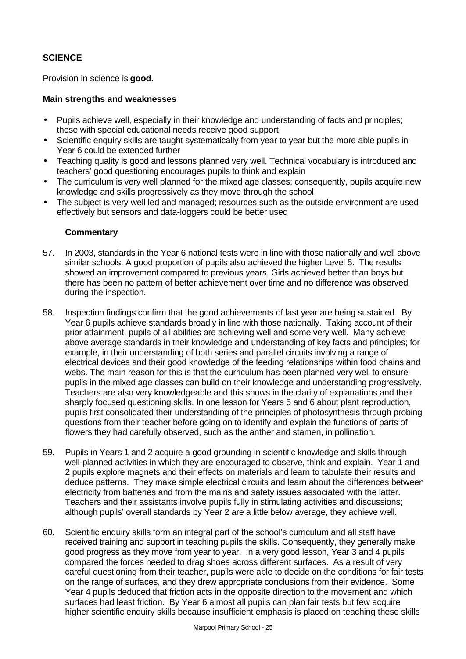# **SCIENCE**

Provision in science is **good.**

# **Main strengths and weaknesses**

- Pupils achieve well, especially in their knowledge and understanding of facts and principles; those with special educational needs receive good support
- Scientific enquiry skills are taught systematically from year to year but the more able pupils in Year 6 could be extended further
- Teaching quality is good and lessons planned very well. Technical vocabulary is introduced and teachers' good questioning encourages pupils to think and explain
- The curriculum is very well planned for the mixed age classes; consequently, pupils acquire new knowledge and skills progressively as they move through the school
- The subject is very well led and managed; resources such as the outside environment are used effectively but sensors and data-loggers could be better used

- 57. In 2003, standards in the Year 6 national tests were in line with those nationally and well above similar schools. A good proportion of pupils also achieved the higher Level 5. The results showed an improvement compared to previous years. Girls achieved better than boys but there has been no pattern of better achievement over time and no difference was observed during the inspection.
- 58. Inspection findings confirm that the good achievements of last year are being sustained. By Year 6 pupils achieve standards broadly in line with those nationally. Taking account of their prior attainment, pupils of all abilities are achieving well and some very well. Many achieve above average standards in their knowledge and understanding of key facts and principles; for example, in their understanding of both series and parallel circuits involving a range of electrical devices and their good knowledge of the feeding relationships within food chains and webs. The main reason for this is that the curriculum has been planned very well to ensure pupils in the mixed age classes can build on their knowledge and understanding progressively. Teachers are also very knowledgeable and this shows in the clarity of explanations and their sharply focused questioning skills. In one lesson for Years 5 and 6 about plant reproduction, pupils first consolidated their understanding of the principles of photosynthesis through probing questions from their teacher before going on to identify and explain the functions of parts of flowers they had carefully observed, such as the anther and stamen, in pollination.
- 59. Pupils in Years 1 and 2 acquire a good grounding in scientific knowledge and skills through well-planned activities in which they are encouraged to observe, think and explain. Year 1 and 2 pupils explore magnets and their effects on materials and learn to tabulate their results and deduce patterns. They make simple electrical circuits and learn about the differences between electricity from batteries and from the mains and safety issues associated with the latter. Teachers and their assistants involve pupils fully in stimulating activities and discussions; although pupils' overall standards by Year 2 are a little below average, they achieve well.
- 60. Scientific enquiry skills form an integral part of the school's curriculum and all staff have received training and support in teaching pupils the skills. Consequently, they generally make good progress as they move from year to year. In a very good lesson, Year 3 and 4 pupils compared the forces needed to drag shoes across different surfaces. As a result of very careful questioning from their teacher, pupils were able to decide on the conditions for fair tests on the range of surfaces, and they drew appropriate conclusions from their evidence. Some Year 4 pupils deduced that friction acts in the opposite direction to the movement and which surfaces had least friction. By Year 6 almost all pupils can plan fair tests but few acquire higher scientific enquiry skills because insufficient emphasis is placed on teaching these skills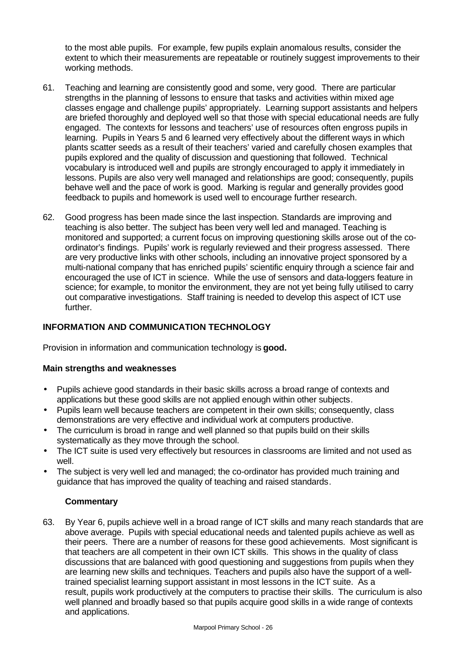to the most able pupils. For example, few pupils explain anomalous results, consider the extent to which their measurements are repeatable or routinely suggest improvements to their working methods.

- 61. Teaching and learning are consistently good and some, very good. There are particular strengths in the planning of lessons to ensure that tasks and activities within mixed age classes engage and challenge pupils' appropriately. Learning support assistants and helpers are briefed thoroughly and deployed well so that those with special educational needs are fully engaged. The contexts for lessons and teachers' use of resources often engross pupils in learning. Pupils in Years 5 and 6 learned very effectively about the different ways in which plants scatter seeds as a result of their teachers' varied and carefully chosen examples that pupils explored and the quality of discussion and questioning that followed. Technical vocabulary is introduced well and pupils are strongly encouraged to apply it immediately in lessons. Pupils are also very well managed and relationships are good; consequently, pupils behave well and the pace of work is good. Marking is regular and generally provides good feedback to pupils and homework is used well to encourage further research.
- 62. Good progress has been made since the last inspection. Standards are improving and teaching is also better. The subject has been very well led and managed. Teaching is monitored and supported; a current focus on improving questioning skills arose out of the coordinator's findings. Pupils' work is regularly reviewed and their progress assessed. There are very productive links with other schools, including an innovative project sponsored by a multi-national company that has enriched pupils' scientific enquiry through a science fair and encouraged the use of ICT in science. While the use of sensors and data-loggers feature in science; for example, to monitor the environment, they are not yet being fully utilised to carry out comparative investigations. Staff training is needed to develop this aspect of ICT use further.

# **INFORMATION AND COMMUNICATION TECHNOLOGY**

Provision in information and communication technology is **good.**

# **Main strengths and weaknesses**

- Pupils achieve good standards in their basic skills across a broad range of contexts and applications but these good skills are not applied enough within other subjects.
- Pupils learn well because teachers are competent in their own skills; consequently, class demonstrations are very effective and individual work at computers productive.
- The curriculum is broad in range and well planned so that pupils build on their skills systematically as they move through the school.
- The ICT suite is used very effectively but resources in classrooms are limited and not used as well.
- The subject is very well led and managed; the co-ordinator has provided much training and guidance that has improved the quality of teaching and raised standards.

# **Commentary**

63. By Year 6, pupils achieve well in a broad range of ICT skills and many reach standards that are above average. Pupils with special educational needs and talented pupils achieve as well as their peers. There are a number of reasons for these good achievements. Most significant is that teachers are all competent in their own ICT skills. This shows in the quality of class discussions that are balanced with good questioning and suggestions from pupils when they are learning new skills and techniques. Teachers and pupils also have the support of a welltrained specialist learning support assistant in most lessons in the ICT suite. As a result, pupils work productively at the computers to practise their skills. The curriculum is also well planned and broadly based so that pupils acquire good skills in a wide range of contexts and applications.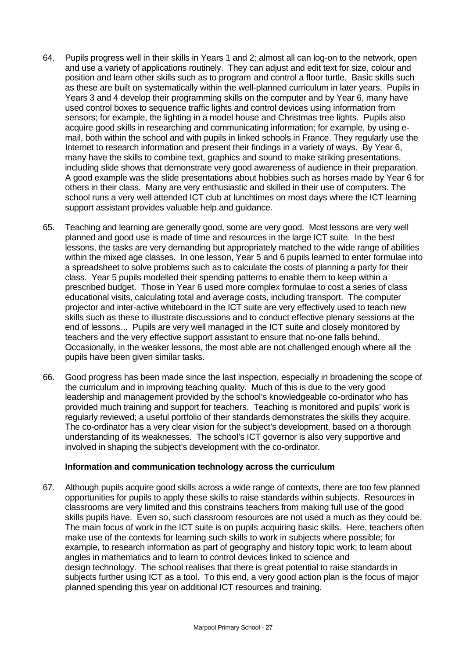- 64. Pupils progress well in their skills in Years 1 and 2; almost all can log-on to the network, open and use a variety of applications routinely. They can adjust and edit text for size, colour and position and learn other skills such as to program and control a floor turtle. Basic skills such as these are built on systematically within the well-planned curriculum in later years. Pupils in Years 3 and 4 develop their programming skills on the computer and by Year 6, many have used control boxes to sequence traffic lights and control devices using information from sensors; for example, the lighting in a model house and Christmas tree lights. Pupils also acquire good skills in researching and communicating information; for example, by using email, both within the school and with pupils in linked schools in France. They regularly use the Internet to research information and present their findings in a variety of ways. By Year 6, many have the skills to combine text, graphics and sound to make striking presentations, including slide shows that demonstrate very good awareness of audience in their preparation. A good example was the slide presentations about hobbies such as horses made by Year 6 for others in their class. Many are very enthusiastic and skilled in their use of computers. The school runs a very well attended ICT club at lunchtimes on most days where the ICT learning support assistant provides valuable help and guidance.
- 65. Teaching and learning are generally good, some are very good. Most lessons are very well planned and good use is made of time and resources in the large ICT suite. In the best lessons, the tasks are very demanding but appropriately matched to the wide range of abilities within the mixed age classes. In one lesson, Year 5 and 6 pupils learned to enter formulae into a spreadsheet to solve problems such as to calculate the costs of planning a party for their class. Year 5 pupils modelled their spending patterns to enable them to keep within a prescribed budget. Those in Year 6 used more complex formulae to cost a series of class educational visits, calculating total and average costs, including transport. The computer projector and inter-active whiteboard in the ICT suite are very effectively used to teach new skills such as these to illustrate discussions and to conduct effective plenary sessions at the end of lessons... Pupils are very well managed in the ICT suite and closely monitored by teachers and the very effective support assistant to ensure that no-one falls behind. Occasionally, in the weaker lessons, the most able are not challenged enough where all the pupils have been given similar tasks.
- 66. Good progress has been made since the last inspection, especially in broadening the scope of the curriculum and in improving teaching quality. Much of this is due to the very good leadership and management provided by the school's knowledgeable co-ordinator who has provided much training and support for teachers. Teaching is monitored and pupils' work is regularly reviewed; a useful portfolio of their standards demonstrates the skills they acquire. The co-ordinator has a very clear vision for the subject's development, based on a thorough understanding of its weaknesses. The school's ICT governor is also very supportive and involved in shaping the subject's development with the co-ordinator.

# **Information and communication technology across the curriculum**

67. Although pupils acquire good skills across a wide range of contexts, there are too few planned opportunities for pupils to apply these skills to raise standards within subjects. Resources in classrooms are very limited and this constrains teachers from making full use of the good skills pupils have. Even so, such classroom resources are not used a much as they could be. The main focus of work in the ICT suite is on pupils acquiring basic skills. Here, teachers often make use of the contexts for learning such skills to work in subjects where possible; for example, to research information as part of geography and history topic work; to learn about angles in mathematics and to learn to control devices linked to science and design technology. The school realises that there is great potential to raise standards in subjects further using ICT as a tool. To this end, a very good action plan is the focus of major planned spending this year on additional ICT resources and training.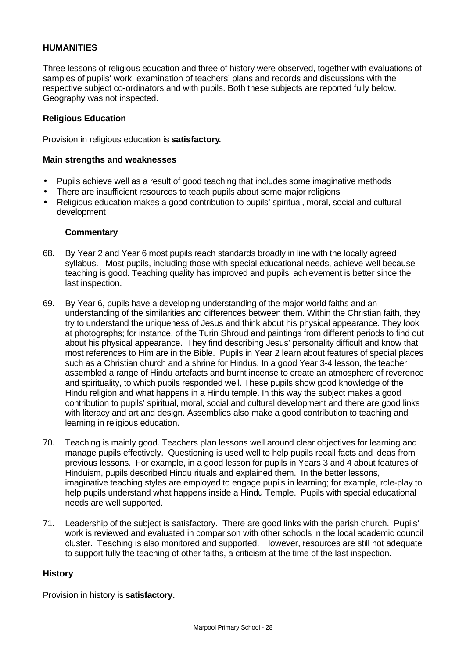# **HUMANITIES**

Three lessons of religious education and three of history were observed, together with evaluations of samples of pupils' work, examination of teachers' plans and records and discussions with the respective subject co-ordinators and with pupils. Both these subjects are reported fully below. Geography was not inspected.

## **Religious Education**

Provision in religious education is **satisfactory.**

#### **Main strengths and weaknesses**

- Pupils achieve well as a result of good teaching that includes some imaginative methods
- There are insufficient resources to teach pupils about some major religions
- Religious education makes a good contribution to pupils' spiritual, moral, social and cultural development

#### **Commentary**

- 68. By Year 2 and Year 6 most pupils reach standards broadly in line with the locally agreed syllabus. Most pupils, including those with special educational needs, achieve well because teaching is good. Teaching quality has improved and pupils' achievement is better since the last inspection.
- 69. By Year 6, pupils have a developing understanding of the major world faiths and an understanding of the similarities and differences between them. Within the Christian faith, they try to understand the uniqueness of Jesus and think about his physical appearance. They look at photographs; for instance, of the Turin Shroud and paintings from different periods to find out about his physical appearance. They find describing Jesus' personality difficult and know that most references to Him are in the Bible. Pupils in Year 2 learn about features of special places such as a Christian church and a shrine for Hindus. In a good Year 3-4 lesson, the teacher assembled a range of Hindu artefacts and burnt incense to create an atmosphere of reverence and spirituality, to which pupils responded well. These pupils show good knowledge of the Hindu religion and what happens in a Hindu temple. In this way the subject makes a good contribution to pupils' spiritual, moral, social and cultural development and there are good links with literacy and art and design. Assemblies also make a good contribution to teaching and learning in religious education.
- 70. Teaching is mainly good. Teachers plan lessons well around clear objectives for learning and manage pupils effectively. Questioning is used well to help pupils recall facts and ideas from previous lessons. For example, in a good lesson for pupils in Years 3 and 4 about features of Hinduism, pupils described Hindu rituals and explained them. In the better lessons, imaginative teaching styles are employed to engage pupils in learning; for example, role-play to help pupils understand what happens inside a Hindu Temple. Pupils with special educational needs are well supported.
- 71. Leadership of the subject is satisfactory. There are good links with the parish church. Pupils' work is reviewed and evaluated in comparison with other schools in the local academic council cluster. Teaching is also monitored and supported. However, resources are still not adequate to support fully the teaching of other faiths, a criticism at the time of the last inspection.

# **History**

Provision in history is **satisfactory.**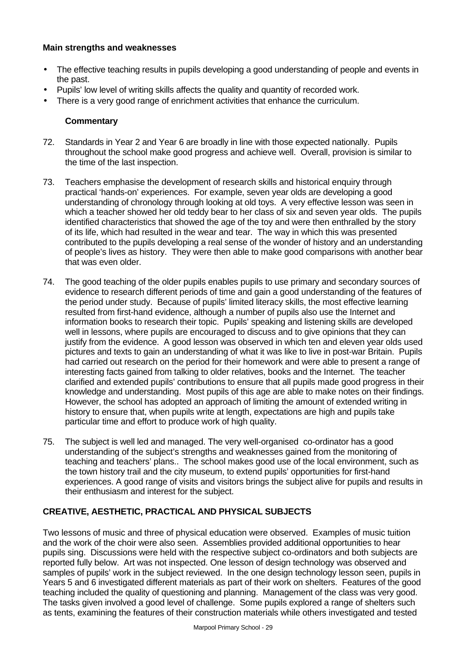# **Main strengths and weaknesses**

- The effective teaching results in pupils developing a good understanding of people and events in the past.
- Pupils' low level of writing skills affects the quality and quantity of recorded work.
- There is a very good range of enrichment activities that enhance the curriculum.

# **Commentary**

- 72. Standards in Year 2 and Year 6 are broadly in line with those expected nationally. Pupils throughout the school make good progress and achieve well. Overall, provision is similar to the time of the last inspection.
- 73. Teachers emphasise the development of research skills and historical enquiry through practical 'hands-on' experiences. For example, seven year olds are developing a good understanding of chronology through looking at old toys. A very effective lesson was seen in which a teacher showed her old teddy bear to her class of six and seven year olds. The pupils identified characteristics that showed the age of the toy and were then enthralled by the story of its life, which had resulted in the wear and tear. The way in which this was presented contributed to the pupils developing a real sense of the wonder of history and an understanding of people's lives as history. They were then able to make good comparisons with another bear that was even older.
- 74. The good teaching of the older pupils enables pupils to use primary and secondary sources of evidence to research different periods of time and gain a good understanding of the features of the period under study. Because of pupils' limited literacy skills, the most effective learning resulted from first-hand evidence, although a number of pupils also use the Internet and information books to research their topic. Pupils' speaking and listening skills are developed well in lessons, where pupils are encouraged to discuss and to give opinions that they can justify from the evidence. A good lesson was observed in which ten and eleven year olds used pictures and texts to gain an understanding of what it was like to live in post-war Britain. Pupils had carried out research on the period for their homework and were able to present a range of interesting facts gained from talking to older relatives, books and the Internet. The teacher clarified and extended pupils' contributions to ensure that all pupils made good progress in their knowledge and understanding. Most pupils of this age are able to make notes on their findings. However, the school has adopted an approach of limiting the amount of extended writing in history to ensure that, when pupils write at length, expectations are high and pupils take particular time and effort to produce work of high quality.
- 75. The subject is well led and managed. The very well-organised co-ordinator has a good understanding of the subject's strengths and weaknesses gained from the monitoring of teaching and teachers' plans.. The school makes good use of the local environment, such as the town history trail and the city museum, to extend pupils' opportunities for first-hand experiences. A good range of visits and visitors brings the subject alive for pupils and results in their enthusiasm and interest for the subject.

# **CREATIVE, AESTHETIC, PRACTICAL AND PHYSICAL SUBJECTS**

Two lessons of music and three of physical education were observed. Examples of music tuition and the work of the choir were also seen. Assemblies provided additional opportunities to hear pupils sing. Discussions were held with the respective subject co-ordinators and both subjects are reported fully below. Art was not inspected. One lesson of design technology was observed and samples of pupils' work in the subject reviewed. In the one design technology lesson seen, pupils in Years 5 and 6 investigated different materials as part of their work on shelters. Features of the good teaching included the quality of questioning and planning. Management of the class was very good. The tasks given involved a good level of challenge. Some pupils explored a range of shelters such as tents, examining the features of their construction materials while others investigated and tested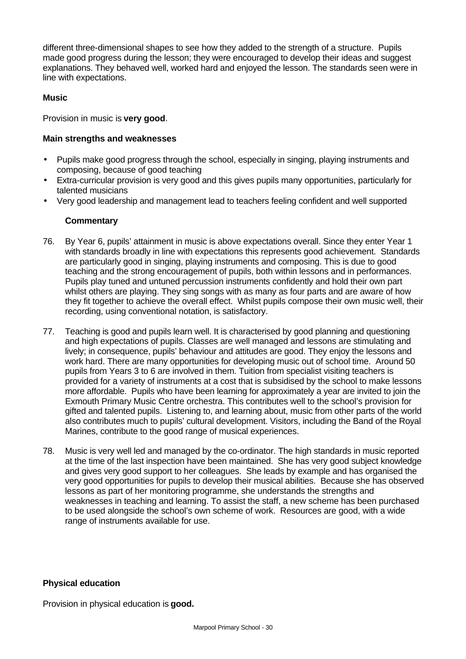different three-dimensional shapes to see how they added to the strength of a structure. Pupils made good progress during the lesson; they were encouraged to develop their ideas and suggest explanations. They behaved well, worked hard and enjoyed the lesson. The standards seen were in line with expectations.

# **Music**

Provision in music is **very good**.

# **Main strengths and weaknesses**

- Pupils make good progress through the school, especially in singing, playing instruments and composing, because of good teaching
- Extra-curricular provision is very good and this gives pupils many opportunities, particularly for talented musicians
- Very good leadership and management lead to teachers feeling confident and well supported

# **Commentary**

- 76. By Year 6, pupils' attainment in music is above expectations overall. Since they enter Year 1 with standards broadly in line with expectations this represents good achievement. Standards are particularly good in singing, playing instruments and composing. This is due to good teaching and the strong encouragement of pupils, both within lessons and in performances. Pupils play tuned and untuned percussion instruments confidently and hold their own part whilst others are playing. They sing songs with as many as four parts and are aware of how they fit together to achieve the overall effect. Whilst pupils compose their own music well, their recording, using conventional notation, is satisfactory.
- 77. Teaching is good and pupils learn well. It is characterised by good planning and questioning and high expectations of pupils. Classes are well managed and lessons are stimulating and lively; in consequence, pupils' behaviour and attitudes are good. They enjoy the lessons and work hard. There are many opportunities for developing music out of school time. Around 50 pupils from Years 3 to 6 are involved in them. Tuition from specialist visiting teachers is provided for a variety of instruments at a cost that is subsidised by the school to make lessons more affordable. Pupils who have been learning for approximately a year are invited to join the Exmouth Primary Music Centre orchestra. This contributes well to the school's provision for gifted and talented pupils. Listening to, and learning about, music from other parts of the world also contributes much to pupils' cultural development. Visitors, including the Band of the Royal Marines, contribute to the good range of musical experiences.
- 78. Music is very well led and managed by the co-ordinator. The high standards in music reported at the time of the last inspection have been maintained. She has very good subject knowledge and gives very good support to her colleagues. She leads by example and has organised the very good opportunities for pupils to develop their musical abilities. Because she has observed lessons as part of her monitoring programme, she understands the strengths and weaknesses in teaching and learning. To assist the staff, a new scheme has been purchased to be used alongside the school's own scheme of work. Resources are good, with a wide range of instruments available for use.

# **Physical education**

Provision in physical education is **good.**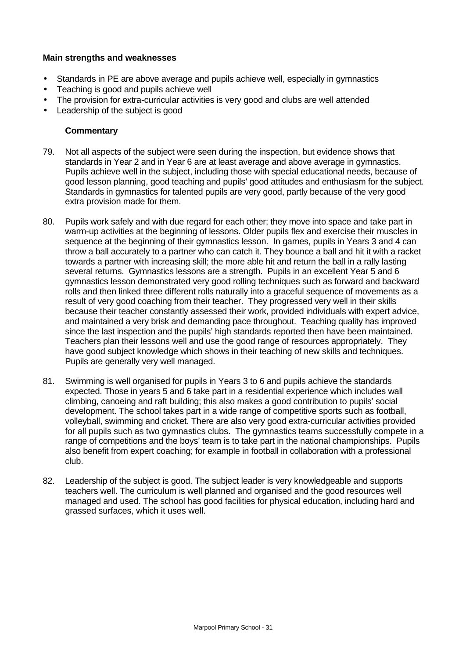# **Main strengths and weaknesses**

- Standards in PE are above average and pupils achieve well, especially in gymnastics
- Teaching is good and pupils achieve well
- The provision for extra-curricular activities is very good and clubs are well attended
- Leadership of the subject is good

- 79. Not all aspects of the subject were seen during the inspection, but evidence shows that standards in Year 2 and in Year 6 are at least average and above average in gymnastics. Pupils achieve well in the subject, including those with special educational needs, because of good lesson planning, good teaching and pupils' good attitudes and enthusiasm for the subject. Standards in gymnastics for talented pupils are very good, partly because of the very good extra provision made for them.
- 80. Pupils work safely and with due regard for each other; they move into space and take part in warm-up activities at the beginning of lessons. Older pupils flex and exercise their muscles in sequence at the beginning of their gymnastics lesson. In games, pupils in Years 3 and 4 can throw a ball accurately to a partner who can catch it. They bounce a ball and hit it with a racket towards a partner with increasing skill; the more able hit and return the ball in a rally lasting several returns. Gymnastics lessons are a strength. Pupils in an excellent Year 5 and 6 gymnastics lesson demonstrated very good rolling techniques such as forward and backward rolls and then linked three different rolls naturally into a graceful sequence of movements as a result of very good coaching from their teacher. They progressed very well in their skills because their teacher constantly assessed their work, provided individuals with expert advice, and maintained a very brisk and demanding pace throughout. Teaching quality has improved since the last inspection and the pupils' high standards reported then have been maintained. Teachers plan their lessons well and use the good range of resources appropriately. They have good subject knowledge which shows in their teaching of new skills and techniques. Pupils are generally very well managed.
- 81. Swimming is well organised for pupils in Years 3 to 6 and pupils achieve the standards expected. Those in years 5 and 6 take part in a residential experience which includes wall climbing, canoeing and raft building; this also makes a good contribution to pupils' social development. The school takes part in a wide range of competitive sports such as football, volleyball, swimming and cricket. There are also very good extra-curricular activities provided for all pupils such as two gymnastics clubs. The gymnastics teams successfully compete in a range of competitions and the boys' team is to take part in the national championships. Pupils also benefit from expert coaching; for example in football in collaboration with a professional club.
- 82. Leadership of the subject is good. The subject leader is very knowledgeable and supports teachers well. The curriculum is well planned and organised and the good resources well managed and used. The school has good facilities for physical education, including hard and grassed surfaces, which it uses well.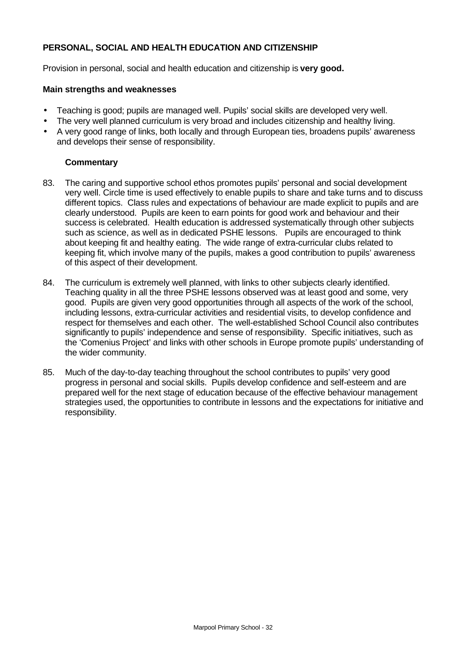# **PERSONAL, SOCIAL AND HEALTH EDUCATION AND CITIZENSHIP**

Provision in personal, social and health education and citizenship is **very good.**

## **Main strengths and weaknesses**

- Teaching is good; pupils are managed well. Pupils' social skills are developed very well.
- The very well planned curriculum is very broad and includes citizenship and healthy living.
- A very good range of links, both locally and through European ties, broadens pupils' awareness and develops their sense of responsibility.

- 83. The caring and supportive school ethos promotes pupils' personal and social development very well. Circle time is used effectively to enable pupils to share and take turns and to discuss different topics. Class rules and expectations of behaviour are made explicit to pupils and are clearly understood. Pupils are keen to earn points for good work and behaviour and their success is celebrated. Health education is addressed systematically through other subjects such as science, as well as in dedicated PSHE lessons. Pupils are encouraged to think about keeping fit and healthy eating. The wide range of extra-curricular clubs related to keeping fit, which involve many of the pupils, makes a good contribution to pupils' awareness of this aspect of their development.
- 84. The curriculum is extremely well planned, with links to other subjects clearly identified. Teaching quality in all the three PSHE lessons observed was at least good and some, very good. Pupils are given very good opportunities through all aspects of the work of the school, including lessons, extra-curricular activities and residential visits, to develop confidence and respect for themselves and each other. The well-established School Council also contributes significantly to pupils' independence and sense of responsibility. Specific initiatives, such as the 'Comenius Project' and links with other schools in Europe promote pupils' understanding of the wider community.
- 85. Much of the day-to-day teaching throughout the school contributes to pupils' very good progress in personal and social skills. Pupils develop confidence and self-esteem and are prepared well for the next stage of education because of the effective behaviour management strategies used, the opportunities to contribute in lessons and the expectations for initiative and responsibility.